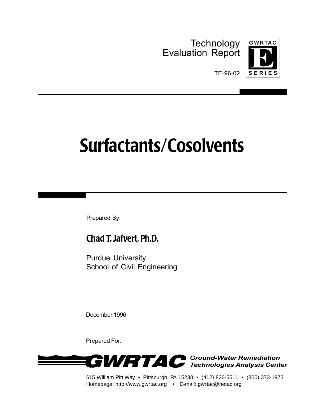**Technology** Evaluation Report



TE-96-02

# **Surfactants/Cosolvents**

Prepared By:

## **Chad T. Jafvert, Ph.D.**

Purdue University School of Civil Engineering

December 1996

Prepared For:



615 William Pitt Way • Pittsburgh, PA 15238 • (412) 826-5511 • (800) 373-1973 Homepage: http://www.gwrtac.org • E-mail: gwrtac@netac.org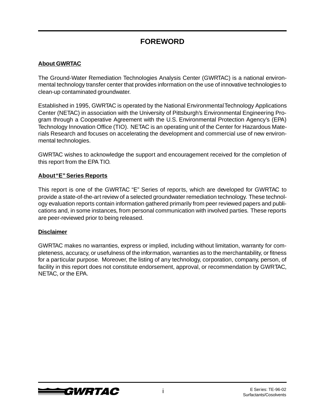### **FOREWORD**

#### **About GWRTAC**

The Ground-Water Remediation Technologies Analysis Center (GWRTAC) is a national environmental technology transfer center that provides information on the use of innovative technologies to clean-up contaminated groundwater.

Established in 1995, GWRTAC is operated by the National Environmental Technology Applications Center (NETAC) in association with the University of Pittsburgh's Environmental Engineering Program through a Cooperative Agreement with the U.S. Environmental Protection Agency's (EPA) Technology Innovation Office (TIO). NETAC is an operating unit of the Center for Hazardous Materials Research and focuses on accelerating the development and commercial use of new environmental technologies.

GWRTAC wishes to acknowledge the support and encouragement received for the completion of this report from the EPA TIO.

#### **About "E" Series Reports**

This report is one of the GWRTAC "E" Series of reports, which are developed for GWRTAC to provide a state-of-the-art review of a selected groundwater remediation technology. These technology evaluation reports contain information gathered primarily from peer reviewed papers and publications and, in some instances, from personal communication with involved parties. These reports are peer-reviewed prior to being released.

#### **Disclaimer**

GWRTAC makes no warranties, express or implied, including without limitation, warranty for completeness, accuracy, or usefulness of the information, warranties as to the merchantability, or fitness for a particular purpose. Moreover, the listing of any technology, corporation, company, person, of facility in this report does not constitute endorsement, approval, or recommendation by GWRTAC, NETAC, or the EPA.



i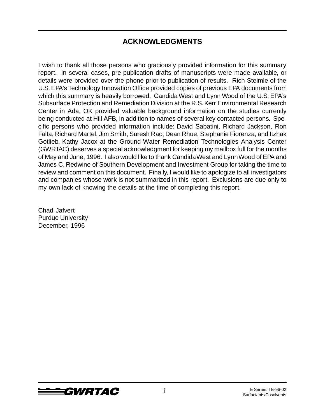### **ACKNOWLEDGMENTS**

I wish to thank all those persons who graciously provided information for this summary report. In several cases, pre-publication drafts of manuscripts were made available, or details were provided over the phone prior to publication of results. Rich Steimle of the U.S. EPA's Technology Innovation Office provided copies of previous EPA documents from which this summary is heavily borrowed. Candida West and Lynn Wood of the U.S. EPA's Subsurface Protection and Remediation Division at the R.S. Kerr Environmental Research Center in Ada, OK provided valuable background information on the studies currently being conducted at Hill AFB, in addition to names of several key contacted persons. Specific persons who provided information include: David Sabatini, Richard Jackson, Ron Falta, Richard Martel, Jim Smith, Suresh Rao, Dean Rhue, Stephanie Fiorenza, and Itzhak Gotlieb. Kathy Jacox at the Ground-Water Remediation Technologies Analysis Center (GWRTAC) deserves a special acknowledgment for keeping my mailbox full for the months of May and June, 1996. I also would like to thank Candida West and Lynn Wood of EPA and James C. Redwine of Southern Development and Investment Group for taking the time to review and comment on this document. Finally, I would like to apologize to all investigators and companies whose work is not summarized in this report. Exclusions are due only to my own lack of knowing the details at the time of completing this report.

Chad Jafvert Purdue University December, 1996

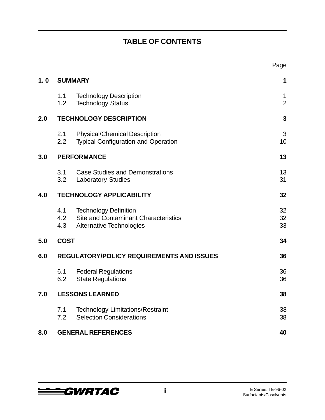# **TABLE OF CONTENTS**

|     |                   |                                                                                                  | Page                          |
|-----|-------------------|--------------------------------------------------------------------------------------------------|-------------------------------|
| 1.0 |                   | <b>SUMMARY</b>                                                                                   | 1                             |
|     | 1.1<br>1.2        | <b>Technology Description</b><br><b>Technology Status</b>                                        | $\mathbf 1$<br>$\overline{2}$ |
| 2.0 |                   | <b>TECHNOLOGY DESCRIPTION</b>                                                                    | 3                             |
|     | 2.1<br>2.2        | <b>Physical/Chemical Description</b><br><b>Typical Configuration and Operation</b>               | 3<br>10                       |
| 3.0 |                   | <b>PERFORMANCE</b>                                                                               | 13                            |
|     | 3.1<br>3.2        | <b>Case Studies and Demonstrations</b><br><b>Laboratory Studies</b>                              | 13<br>31                      |
| 4.0 |                   | <b>TECHNOLOGY APPLICABILITY</b>                                                                  | 32                            |
|     | 4.1<br>4.2<br>4.3 | <b>Technology Definition</b><br>Site and Contaminant Characteristics<br>Alternative Technologies | 32<br>32<br>33                |
| 5.0 | <b>COST</b>       |                                                                                                  | 34                            |
| 6.0 |                   | <b>REGULATORY/POLICY REQUIREMENTS AND ISSUES</b>                                                 | 36                            |
|     | 6.1<br>6.2        | <b>Federal Regulations</b><br><b>State Regulations</b>                                           | 36<br>36                      |
| 7.0 |                   | <b>LESSONS LEARNED</b>                                                                           | 38                            |
|     | 7.1<br>7.2        | <b>Technology Limitations/Restraint</b><br><b>Selection Considerations</b>                       | 38<br>38                      |
| 8.0 |                   | <b>GENERAL REFERENCES</b>                                                                        | 40                            |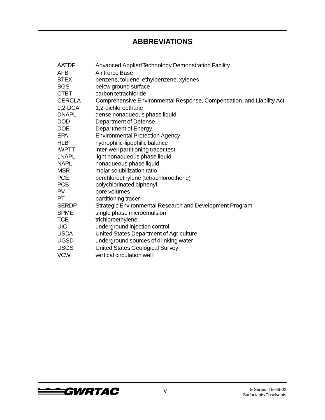### **ABBREVIATIONS**

| <b>AATDF</b>  | Advanced Applied Technology Demonstration Facility                    |
|---------------|-----------------------------------------------------------------------|
| AFB           | Air Force Base                                                        |
| <b>BTEX</b>   | benzene, toluene, ethylbenzene, xylenes                               |
| <b>BGS</b>    | below ground surface                                                  |
| <b>CTET</b>   | carbon tetrachloride                                                  |
| <b>CERCLA</b> | Comprehensive Environmental Response, Compensation, and Liability Act |
| $1,2$ -DCA    | 1,2-dichloroethane                                                    |
| <b>DNAPL</b>  | dense nonaqueous phase liquid                                         |
| <b>DOD</b>    | <b>Department of Defense</b>                                          |
| <b>DOE</b>    | Department of Energy                                                  |
| <b>EPA</b>    | <b>Environmental Protection Agency</b>                                |
| <b>HLB</b>    | hydrophilic-lipophilic balance                                        |
| <b>IWPTT</b>  | inter-well partitioning tracer test                                   |
| <b>LNAPL</b>  | light nonaqueous phase liquid                                         |
| <b>NAPL</b>   | nonaqueous phase liquid                                               |
| <b>MSR</b>    | molar solubilization ratio                                            |
| <b>PCE</b>    | perchloroethylene (tetrachloroethene)                                 |
| <b>PCB</b>    | polychlorinated biphenyl                                              |
| <b>PV</b>     | pore volumes                                                          |
| PT.           | partitioning tracer                                                   |
| <b>SERDP</b>  | Strategic Environmental Research and Development Program              |
| <b>SPME</b>   | single phase microemulsion                                            |
| <b>TCE</b>    | trichloroethylene                                                     |
| <b>UIC</b>    | underground injection control                                         |
| <b>USDA</b>   | United States Department of Agriculture                               |
| <b>UGSD</b>   | underground sources of drinking water                                 |
| <b>USGS</b>   | <b>United States Geological Survey</b>                                |
| <b>VCW</b>    | vertical circulation well                                             |

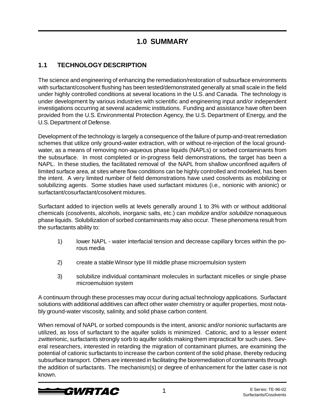### **1.0 SUMMARY**

### **1.1 TECHNOLOGY DESCRIPTION**

The science and engineering of enhancing the remediation/restoration of subsurface environments with surfactant/cosolvent flushing has been tested/demonstrated generally at small scale in the field under highly controlled conditions at several locations in the U.S. and Canada. The technology is under development by various industries with scientific and engineering input and/or independent investigations occurring at several academic institutions. Funding and assistance have often been provided from the U.S. Environmental Protection Agency, the U.S. Department of Energy, and the U.S. Department of Defense.

Development of the technology is largely a consequence of the failure of pump-and-treat remediation schemes that utilize only ground-water extraction, with or without re-injection of the local groundwater, as a means of removing non-aqueous phase liquids (NAPLs) or sorbed contaminants from the subsurface. In most completed or in-progress field demonstrations, the target has been a NAPL. In these studies, the facilitated removal of the NAPL from shallow unconfined aquifers of limited surface area, at sites where flow conditions can be highly controlled and modeled, has been the intent. A very limited number of field demonstrations have used cosolvents as mobilizing or solubilizing agents. Some studies have used surfactant mixtures (i.e., nonionic with anionic) or surfactant/cosurfactant/cosolvent mixtures.

Surfactant added to injection wells at levels generally around 1 to 3% with or without additional chemicals (cosolvents, alcohols, inorganic salts, etc.) can *mobilize* and/or *solubilize* nonaqueous phase liquids. Solubilization of sorbed contaminants may also occur. These phenomena result from the surfactants ability to:

- 1) lower NAPL water interfacial tension and decrease capillary forces within the porous media
- 2) create a stable Winsor type III middle phase microemulsion system
- 3) solubilize individual contaminant molecules in surfactant micelles or single phase microemulsion system

A continuum through these processes may occur during actual technology applications. Surfactant solutions with additional additives can affect other water chemistry or aquifer properties, most notably ground-water viscosity, salinity, and solid phase carbon content.

When removal of NAPL or sorbed compounds is the intent, anionic and/or nonionic surfactants are utilized, as loss of surfactant to the aquifer solids is minimized. Cationic, and to a lesser extent zwitterionic, surfactants strongly sorb to aquifer solids making them impractical for such uses. Several researchers, interested in retarding the migration of contaminant plumes, are examining the potential of cationic surfactants to increase the carbon content of the solid phase, thereby reducing subsurface transport. Others are interested in facilitating the bioremediation of contaminants through the addition of surfactants. The mechanism(s) or degree of enhancement for the latter case is not known.

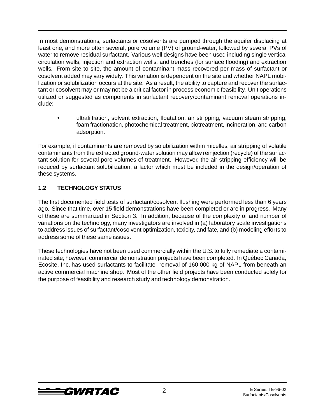In most demonstrations, surfactants or cosolvents are pumped through the aquifer displacing at least one, and more often several, pore volume (PV) of ground-water, followed by several PVs of water to remove residual surfactant. Various well designs have been used including single vertical circulation wells, injection and extraction wells, and trenches (for surface flooding) and extraction wells. From site to site, the amount of contaminant mass recovered per mass of surfactant or cosolvent added may vary widely. This variation is dependent on the site and whether NAPL mobilization or solubilization occurs at the site. As a result, the ability to capture and recover the surfactant or cosolvent may or may not be a critical factor in process economic feasibility. Unit operations utilized or suggested as components in surfactant recovery/contaminant removal operations include:

• ultrafiltration, solvent extraction, floatation, air stripping, vacuum steam stripping, foam fractionation, photochemical treatment, biotreatment, incineration, and carbon adsorption.

For example, if contaminants are removed by solubilization within micelles, air stripping of volatile contaminants from the extracted ground-water solution may allow reinjection (recycle) of the surfactant solution for several pore volumes of treatment. However, the air stripping efficiency will be reduced by surfactant solubilization, a factor which must be included in the design/operation of these systems.

#### **1.2 TECHNOLOGY STATUS**

The first documented field tests of surfactant/cosolvent flushing were performed less than 6 years ago. Since that time, over 15 field demonstrations have been completed or are in progress. Many of these are summarized in Section 3. In addition, because of the complexity of and number of variations on the technology, many investigators are involved in (a) laboratory scale investigations to address issues of surfactant/cosolvent optimization, toxicity, and fate, and (b) modeling efforts to address some of these same issues.

These technologies have not been used commercially within the U.S. to fully remediate a contaminated site; however, commercial demonstration projects have been completed. In Québec Canada, Ecosite, Inc. has used surfactants to facilitate removal of 160,000 kg of NAPL from beneath an active commercial machine shop. Most of the other field projects have been conducted solely for the purpose of feasibility and research study and technology demonstration.

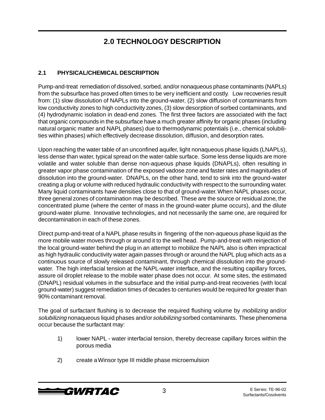### **2.0 TECHNOLOGY DESCRIPTION**

### **2.1 PHYSICAL/CHEMICAL DESCRIPTION**

Pump-and-treat remediation of dissolved, sorbed, and/or nonaqueous phase contaminants (NAPLs) from the subsurface has proved often times to be very inefficient and costly. Low recoveries result from: (1) slow dissolution of NAPLs into the ground-water, (2) slow diffusion of contaminants from low conductivity zones to high conductivity zones, (3) slow desorption of sorbed contaminants, and (4) hydrodynamic isolation in dead-end zones. The first three factors are associated with the fact that organic compounds in the subsurface have a much greater affinity for organic phases (including natural organic matter and NAPL phases) due to thermodynamic potentials (i.e., chemical solubilities within phases) which effectively decrease dissolution, diffusion, and desorption rates.

Upon reaching the water table of an unconfined aquifer, light nonaqueous phase liquids (LNAPLs), less dense than water, typical spread on the water-table surface. Some less dense liquids are more volatile and water soluble than dense non-aqueous phase liquids (DNAPLs), often resulting in greater vapor phase contamination of the exposed vadose zone and faster rates and magnitudes of dissolution into the ground-water. DNAPLs, on the other hand, tend to sink into the ground-water creating a plug or volume with reduced hydraulic conductivity with respect to the surrounding water. Many liquid contaminants have densities close to that of ground-water. When NAPL phases occur, three general zones of contamination may be described. These are the source or residual zone, the concentrated plume (where the center of mass in the ground-water plume occurs), and the dilute ground-water plume. Innovative technologies, and not necessarily the same one, are required for decontamination in each of these zones.

Direct pump-and-treat of a NAPL phase results in fingering of the non-aqueous phase liquid as the more mobile water moves through or around it to the well head. Pump-and-treat with reinjection of the local ground-water behind the plug in an attempt to mobilize the NAPL also is often impractical as high hydraulic conductivity water again passes through or around the NAPL plug which acts as a continuous source of slowly released contaminant, through chemical dissolution into the groundwater. The high interfacial tension at the NAPL-water interface, and the resulting capillary forces, assure oil droplet release to the mobile water phase does not occur. At some sites, the estimated (DNAPL) residual volumes in the subsurface and the initial pump-and-treat recoveries (with local ground-water) suggest remediation times of decades to centuries would be required for greater than 90% contaminant removal.

The goal of surfactant flushing is to decrease the required flushing volume by mobilizing and/or solubilizing nonaqueous liquid phases and/or solubilizing sorbed contaminants. These phenomena occur because the surfactant may:

- 1) lower NAPL water interfacial tension, thereby decrease capillary forces within the porous media
- 2) create a Winsor type III middle phase microemulsion

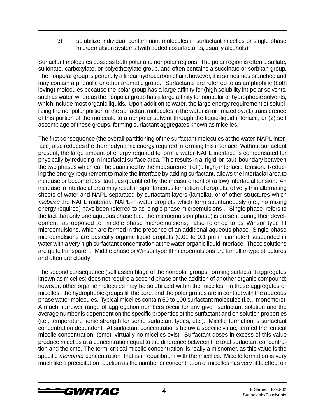3) solubilize individual contaminant molecules in surfactant micelles or single phase microemulsion systems (with added cosurfactants, usually alcohols)

Surfactant molecules possess both polar and nonpolar regions. The polar region is often a sulfate, sulfonate, carboxylate, or polyethoxylate group, and often contains a succinate or sorbitan group. The nonpolar group is generally a linear hydrocarbon chain; however, it is sometimes branched and may contain a phenolic or other aromatic group. Surfactants are referred to as amphiphilic (both loving) molecules because the polar group has a large affinity for (high solubility in) polar solvents, such as water, whereas the nonpolar group has a large affinity for nonpolar or hydrophobic solvents, which include most organic liquids. Upon addition to water, the large energy requirement of solubilizing the nonpolar portion of the surfactant molecules in the water is minimized by: (1) transference of this portion of the molecule to a nonpolar solvent through the liquid-liquid interface, or (2) self assemblage of these groups, forming surfactant aggregates known as micelles.

The first consequence (the overall partitioning of the surfactant molecules at the water-NAPL interface) also reduces the thermodynamic energy required in forming this interface. Without surfactant present, the large amount of energy required to form a water-NAPL interface is compensated for physically by reducing in interfacial surface area. This results in a rigid or taut boundary between the two phases which can be quantified by the measurement of (a high) interfacial tension. Reducing the energy requirement to make the interface by adding surfactant, allows the interfacial area to increase or become less taut , as quantified by the measurement of (a low) interfacial tension. An increase in interfacial area may result in spontaneous formation of droplets, of very thin alternating sheets of water and NAPL separated by surfactant layers (lamella), or of other structures which mobilize the NAPL material. NAPL-in-water droplets which form spontaneously (i.e., no mixing energy required) have been referred to as single phase microemulsions . Single phase refers to the fact that only one aqueous phase (i.e., the microemulsion phase) is present during their development, as opposed to middle phase microemulsions, also referred to as Winsor type III microemulsions, which are formed in the presence of an additional aqueous phase. Single-phase microemulsions are basically organic liquid droplets (0.01 to 0.1 µm in diameter) suspended in water with a very high surfactant concentration at the water-organic liquid interface. These solutions are quite transparent. Middle phase or Winsor type III microemulsions are lamellar-type structures and often are cloudy.

The second consequence (self assemblage of the nonpolar groups, forming surfactant aggregates known as micelles) does not require a second phase or the addition of another organic compound; however, other organic molecules may be solubilized within the micelles. In these aggregates or micelles, the hydrophobic groups fill the core, and the polar groups are in contact with the aqueous phase water molecules. Typical micelles contain 50 to 100 surfactant molecules (i.e., monomers). A much narrower range of aggregation numbers occur for any given surfactant solution and the average number is dependent on the specific properties of the surfactant and on solution properties (i.e., temperature, ionic strength for some surfactant types, etc.). Micelle formation is surfactant concentration dependent. At surfactant concentrations below a specific value, termed the critical micelle concentration (cmc), virtually no micelles exist. Surfactant doses in excess of this value produce micelles at a concentration equal to the difference between the total surfactant concentration and the cmc. The term critical micelle concentration is really a misnomer, as this value is the specific monomer concentration that is in equilibrium with the micelles. Micelle formation is very much like a precipitation reaction as the number or concentration of micelles has very little effect on

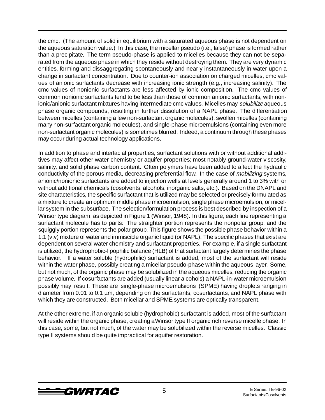the cmc. (The amount of solid in equilibrium with a saturated aqueous phase is not dependent on the aqueous saturation value.) In this case, the micellar pseudo (i.e., false) phase is formed rather than a precipitate. The term pseudo-phase is applied to micelles because they can not be separated from the aqueous phase in which they reside without destroying them. They are very dynamic entities, forming and dissaggregating spontaneously and nearly instantaneously in water upon a change in surfactant concentration. Due to counter-ion association on charged micelles, cmc values of anionic surfactants decrease with increasing ionic strength (e.g., increasing salinity). The cmc values of nonionic surfactants are less affected by ionic composition. The cmc values of common nonionic surfactants tend to be less than those of common anionic surfactants, with nonionic/anionic surfactant mixtures having intermediate cmc values. Micelles may solubilize aqueous phase organic compounds, resulting in further dissolution of a NAPL phase. The differentiation between micelles (containing a few non-surfactant organic molecules), swollen micelles (containing many non-surfactant organic molecules), and single-phase microemulsions (containing even more non-surfactant organic molecules) is sometimes blurred. Indeed, a continuum through these phases may occur during actual technology applications.

In addition to phase and interfacial properties, surfactant solutions with or without additional additives may affect other water chemistry or aquifer properties; most notably ground-water viscosity, salinity, and solid phase carbon content. Often polymers have been added to affect the hydraulic conductivity of the porous media, decreasing preferential flow. In the case of *mobilizing* systems, anionic/nonionic surfactants are added to injection wells at levels generally around 1 to 3% with or without additional chemicals (cosolvents, alcohols, inorganic salts, etc.). Based on the DNAPL and site characteristics, the specific surfactant that is utilized may be selected or precisely formulated as a mixture to create an optimum middle phase microemulsion, single phase microemulsion, or micellar system in the subsurface. The selection/formulation process is best described by inspection of a Winsor type diagram, as depicted in Figure 1 (Winsor, 1948). In this figure, each line representing a surfactant molecule has to parts: The straighter portion represents the nonpolar group, and the squiggly portion represents the polar group. This figure shows the possible phase behavior within a 1:1 (v:v) mixture of water and immiscible organic liquid (or NAPL). The specific phases that exist are dependent on several water chemistry and surfactant properties. For example, if a single surfactant is utilized, the hydrophobic-lipophilic balance (HLB) of that surfactant largely determines the phase behavior. If a water soluble (hydrophilic) surfactant is added, most of the surfactant will reside within the water phase, possibly creating a micellar pseudo-phase within the aqueous layer. Some, but not much, of the organic phase may be solubilized in the aqueous micelles, reducing the organic phase volume. If cosurfactants are added (usually linear alcohols) a NAPL-in-water microemulsion possibly may result. These are single-phase microemulsions (SPME) having droplets ranging in diameter from 0.01 to 0.1 µm, depending on the surfactants, cosurfactants, and NAPL phase with which they are constructed. Both micellar and SPME systems are optically transparent.

At the other extreme, if an organic soluble (hydrophobic) surfactant is added, most of the surfactant will reside within the organic phase, creating a Winsor type II organic rich reverse micelle phase. In this case, some, but not much, of the water may be solubilized within the reverse micelles. Classic type II systems should be quite impractical for aquifer restoration.

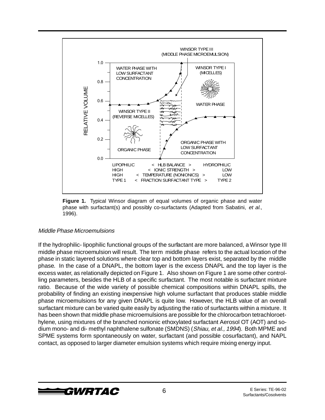

**Figure 1.** Typical Winsor diagram of equal volumes of organic phase and water phase with surfactant(s) and possibly co-surfactants (Adapted from Sabatini, et al., 1996).

#### Middle Phase Microemulsions

If the hydrophilic- lipophilic functional groups of the surfactant are more balanced, a Winsor type III middle phase microemulsion will result. The term middle phase refers to the actual location of the phase in static layered solutions where clear top and bottom layers exist, separated by the middle phase. In the case of a DNAPL, the bottom layer is the excess DNAPL and the top layer is the excess water, as relationally depicted on Figure 1. Also shown on Figure 1 are some other controlling parameters, besides the HLB of a specific surfactant. The most notable is surfactant mixture ratio. Because of the wide variety of possible chemical compositions within DNAPL spills, the probability of finding an existing inexpensive high volume surfactant that produces stable middle phase microemulsions for any given DNAPL is quite low. However, the HLB value of an overall surfactant mixture can be varied quite easily by adjusting the ratio of surfactants within a mixture. It has been shown that middle phase microemulsions are possible for the chlorocarbon tetrachloroethylene, using mixtures of the branched nonionic ethoxylated surfactant Aerosol OT (AOT) and sodium mono- and di- methyl naphthalene sulfonate (SMDNS) (Shiau, et al., 1994). Both MPME and SPME systems form spontaneously on water, surfactant (and possible cosurfactant), and NAPL contact, as opposed to larger diameter emulsion systems which require mixing energy input.

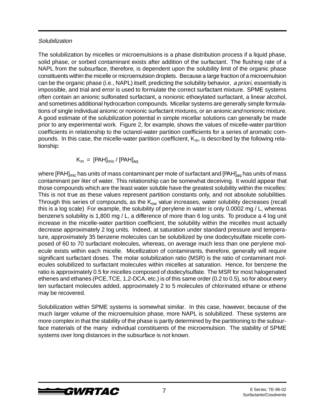#### **Solubilization**

The solubilization by micelles or microemulsions is a phase distribution process if a liquid phase, solid phase, or sorbed contaminant exists after addition of the surfactant. The flushing rate of a NAPL from the subsurface, therefore, is dependent upon the solubility limit of the organic phase constituents within the micelle or microemulsion droplets. Because a large fraction of a microemulsion can be the organic phase (i.e., NAPL) itself, predicting the solubility behavior, a priori, essentially is impossible, and trial and error is used to formulate the correct surfactant mixture. SPME systems often contain an anionic sulfonated surfactant, a nonionic ethoxylated surfactant, a linear alcohol, and sometimes additional hydrocarbon compounds. Micellar systems are generally simple formulations of single individual anionic or nonionic surfactant mixtures, or an anionic and nonionic mixture. A good estimate of the solubilization potential in simple micellar solutions can generally be made prior to any experimental work. Figure 2, for example, shows the values of micelle-water partition coefficients in relationship to the octanol-water partition coefficients for a series of aromatic compounds. In this case, the micelle-water partition coefficient,  $K<sub>m</sub>$ , is described by the following relationship:

 $K_m = [PAH]_{mic} / [PAH]_{aa}$ 

where [PAH]<sub>mic</sub> has units of mass contaminant per mole of surfactant and [PAH]<sub>aq</sub> has units of mass contaminant per liter of water. This relationship can be somewhat deceiving. It would appear that those compounds which are the least water soluble have the greatest solubility within the micelles: This is not true as these values represent partition constants only, and not absolute solubilities. Through this series of compounds, as the  $K_{ow}$  value increases, water solubility decreases (recall this is a log scale) For example, the solubility of perylene in water is only 0.0002 mg / L, whereas benzene's solubility is 1,800 mg / L, a difference of more than 6 log units. To produce a 4 log unit increase in the micelle-water partition coefficient, the solubility within the micelles must actually decrease approximately 2 log units. Indeed, at saturation under standard pressure and temperature, approximately 35 benzene molecules can be solubilized by one dodecylsulfate micelle composed of 60 to 70 surfactant molecules, whereas, on average much less than one perylene molecule exists within each micelle. Micellization of contaminants, therefore, generally will require significant surfactant doses. The molar solubilization ratio (MSR) is the ratio of contaminant molecules solubilized to surfactant molecules within micelles at saturation. Hence, for benzene the ratio is approximately 0.5 for micelles composed of dodecylsulfate. The MSR for most halogenated ethenes and ethanes (PCE, TCE, 1,2-DCA, etc.) is of this same order (0.2 to 0.5), so for about every ten surfactant molecules added, approximately 2 to 5 molecules of chlorinated ethane or ethene may be recovered.

Solubilization within SPME systems is somewhat similar. In this case, however, because of the much larger volume of the microemulsion phase, more NAPL is solubilized. These systems are more complex in that the stability of the phase is partly determined by the partitioning to the subsurface materials of the many individual constituents of the microemulsion. The stability of SPME systems over long distances in the subsurface is not known.

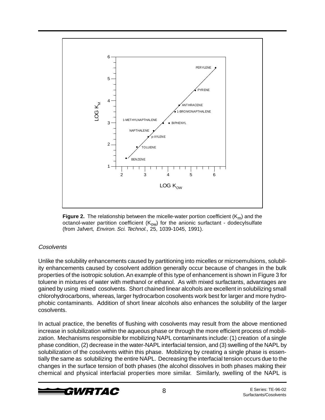

**Figure 2.** The relationship between the micelle-water portion coefficient  $(K_m)$  and the octanol-water partition coefficient (K<sub>ow</sub>) for the anionic surfactant - dodecylsulfate (from Jafvert, Environ. Sci. Technol., 25, 1039-1045, 1991).

#### **Cosolvents**

Unlike the solubility enhancements caused by partitioning into micelles or microemulsions, solubility enhancements caused by cosolvent addition generally occur because of changes in the bulk properties of the isotropic solution. An example of this type of enhancement is shown in Figure 3 for toluene in mixtures of water with methanol or ethanol. As with mixed surfactants, advantages are gained by using mixed cosolvents. Short chained linear alcohols are excellent in solubilizing small chlorohydrocarbons, whereas, larger hydrocarbon cosolvents work best for larger and more hydrophobic contaminants. Addition of short linear alcohols also enhances the solubility of the larger cosolvents.

In actual practice, the benefits of flushing with cosolvents may result from the above mentioned increase in solubilization within the aqueous phase or through the more efficient process of mobilization. Mechanisms responsible for mobilizing NAPL contaminants include: (1) creation of a single phase condition, (2) decrease in the water-NAPL interfacial tension, and (3) swelling of the NAPL by solubilization of the cosolvents within this phase. Mobilizing by creating a single phase is essentially the same as solubilizing the entire NAPL. Decreasing the interfacial tension occurs due to the changes in the surface tension of both phases (the alcohol dissolves in both phases making their chemical and physical interfacial properties more similar. Similarly, swelling of the NAPL is

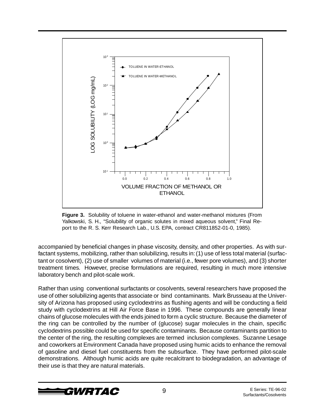

**Figure 3.** Solubility of toluene in water-ethanol and water-methanol mixtures (From Yalkowski, S. H., "Solubility of organic solutes in mixed aqueous solvent," Final Report to the R. S. Kerr Research Lab., U.S. EPA, contract CR811852-01-0, 1985).

accompanied by beneficial changes in phase viscosity, density, and other properties. As with surfactant systems, mobilizing, rather than solubilizing, results in: (1) use of less total material (surfactant or cosolvent), (2) use of smaller volumes of material (i.e., fewer pore volumes), and (3) shorter treatment times. However, precise formulations are required, resulting in much more intensive laboratory bench and pilot-scale work.

Rather than using conventional surfactants or cosolvents, several researchers have proposed the use of other solubilizing agents that associate or bind contaminants. Mark Brusseau at the University of Arizona has proposed using cyclodextrins as flushing agents and will be conducting a field study with cyclodextrins at Hill Air Force Base in 1996. These compounds are generally linear chains of glucose molecules with the ends joined to form a cyclic structure. Because the diameter of the ring can be controlled by the number of (glucose) sugar molecules in the chain, specific cyclodextrins possible could be used for specific contaminants. Because contaminants partition to the center of the ring, the resulting complexes are termed inclusion complexes. Suzanne Lesage and coworkers at Environment Canada have proposed using humic acids to enhance the removal of gasoline and diesel fuel constituents from the subsurface. They have performed pilot-scale demonstrations. Although humic acids are quite recalcitrant to biodegradation, an advantage of their use is that they are natural materials.

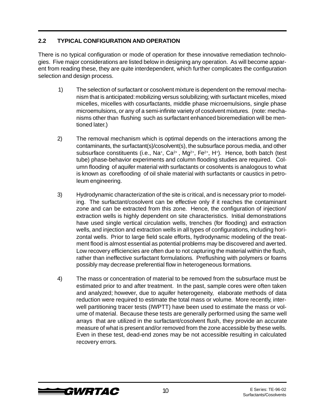#### **2.2 TYPICAL CONFIGURATION AND OPERATION**

There is no typical configuration or mode of operation for these innovative remediation technologies. Five major considerations are listed below in designing any operation. As will become apparent from reading these, they are quite interdependent, which further complicates the configuration selection and design process.

- 1) The selection of surfactant or cosolvent mixture is dependent on the removal mechanism that is anticipated: mobilizing versus solubilizing; with surfactant micelles, mixed micelles, micelles with cosurfactants, middle phase microemulsions, single phase microemulsions, or any of a semi-infinite variety of cosolvent mixtures. (note: mechanisms other than flushing such as surfactant enhanced bioremediation will be mentioned later.)
- 2) The removal mechanism which is optimal depends on the interactions among the contaminants, the surfactant(s)/cosolvent(s), the subsurface porous media, and other subsurface constituents (i.e., Na+, Ca<sup>2+</sup>, Mg<sup>2+</sup>, Fe<sup>2+</sup>, H<sup>+</sup>). Hence, both batch (test tube) phase-behavior experiments and column flooding studies are required. Column flooding of aquifer material with surfactants or cosolvents is analogous to what is known as coreflooding of oil shale material with surfactants or caustics in petroleum engineering.
- 3) Hydrodynamic characterization of the site is critical, and is necessary prior to modeling. The surfactant/cosolvent can be effective only if it reaches the contaminant zone and can be extracted from this zone. Hence, the configuration of injection/ extraction wells is highly dependent on site characteristics. Initial demonstrations have used single vertical circulation wells, trenches (for flooding) and extraction wells, and injection and extraction wells in all types of configurations, including horizontal wells. Prior to large field scale efforts, hydrodynamic modeling of the treatment flood is almost essential as potential problems may be discovered and averted. Low recovery efficiencies are often due to not capturing the material within the flush, rather than ineffective surfactant formulations. Preflushing with polymers or foams possibly may decrease preferential flow in heterogeneous formations.
- 4) The mass or concentration of material to be removed from the subsurface must be estimated prior to and after treatment. In the past, sample cores were often taken and analyzed; however, due to aquifer heterogeneity, elaborate methods of data reduction were required to estimate the total mass or volume. More recently, interwell partitioning tracer tests (IWPTT) have been used to estimate the mass or volume of material. Because these tests are generally performed using the same well arrays that are utilized in the surfactant/cosolvent flush, they provide an accurate measure of what is present and/or removed from the zone accessible by these wells. Even in these test, dead-end zones may be not accessible resulting in calculated recovery errors.

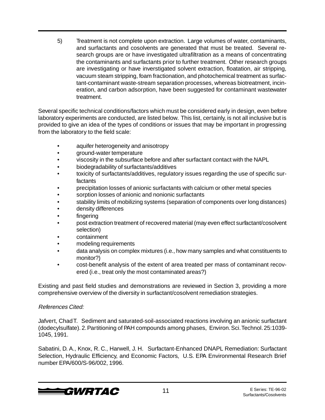5) Treatment is not complete upon extraction. Large volumes of water, contaminants, and surfactants and cosolvents are generated that must be treated. Several research groups are or have investigated ultrafiltration as a means of concentrating the contaminants and surfactants prior to further treatment. Other research groups are investigating or have inverstigated solvent extraction, floatation, air stripping, vacuum steam stripping, foam fractionation, and photochemical treatment as surfactant-contaminant waste-stream separation processes, whereas biotreatment, incineration, and carbon adsorption, have been suggested for contaminant wastewater treatment.

Several specific technical conditions/factors which must be considered early in design, even before laboratory experiments are conducted, are listed below. This list, certainly, is not all inclusive but is provided to give an idea of the types of conditions or issues that may be important in progressing from the laboratory to the field scale:

- aquifer heterogeneity and anisotropy
- ground-water temperature
- viscosity in the subsurface before and after surfactant contact with the NAPL
- biodegradability of surfactants/additives
- toxicity of surfactants/additives, regulatory issues regarding the use of specific sur**factants**
- precipitation losses of anionic surfactants with calcium or other metal species
- sorption losses of anionic and nonionic surfactants
- stability limits of mobilizing systems (separation of components over long distances)
- density differences
- **fingering**
- post extraction treatment of recovered material (may even effect surfactant/cosolvent selection)
- containment
- modeling requirements
- data analysis on complex mixtures (i.e., how many samples and what constituents to monitor?)
- cost-benefit analysis of the extent of area treated per mass of contaminant recovered (i.e., treat only the most contaminated areas?)

Existing and past field studies and demonstrations are reviewed in Section 3, providing a more comprehensive overview of the diversity in surfactant/cosolvent remediation strategies.

#### References Cited:

Jafvert, Chad T. Sediment and saturated-soil-associated reactions involving an anionic surfactant (dodecylsulfate). 2. Partitioning of PAH compounds among phases, Environ. Sci. Technol. 25:1039- 1045, 1991.

Sabatini, D. A., Knox, R. C., Harwell, J. H. Surfactant-Enhanced DNAPL Remediation: Surfactant Selection, Hydraulic Efficiency, and Economic Factors, U.S. EPA Environmental Research Brief number EPA/600/S-96/002, 1996.

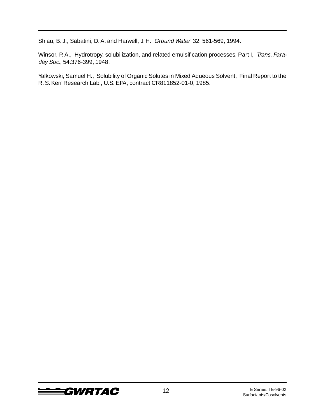Shiau, B. J., Sabatini, D. A. and Harwell, J. H. Ground Water 32, 561-569, 1994.

Winsor, P. A., Hydrotropy, solubilization, and related emulsification processes, Part I, Trans. Faraday Soc., 54:376-399, 1948.

Yalkowski, Samuel H., Solubility of Organic Solutes in Mixed Aqueous Solvent, Final Report to the R. S. Kerr Research Lab., U.S. EPA, contract CR811852-01-0, 1985.

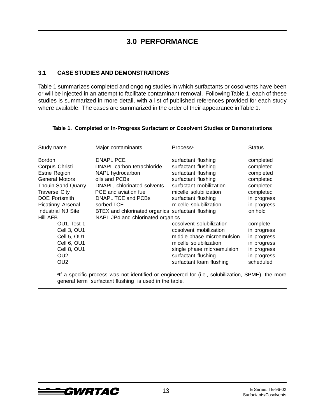### **3.0 PERFORMANCE**

#### **3.1 CASE STUDIES AND DEMONSTRATIONS**

Table 1 summarizes completed and ongoing studies in which surfactants or cosolvents have been or will be injected in an attempt to facilitate contaminant removal. Following Table 1, each of these studies is summarized in more detail, with a list of published references provided for each study where available. The cases are summarized in the order of their appearance in Table 1.

| <b>Study name</b>                                                                                                                                                                                                           | Major contaminants                                                                                                                                                                                                                                                 | Process <sup>a</sup>                                                                                                                                                                           | <b>Status</b>                                                                                                       |
|-----------------------------------------------------------------------------------------------------------------------------------------------------------------------------------------------------------------------------|--------------------------------------------------------------------------------------------------------------------------------------------------------------------------------------------------------------------------------------------------------------------|------------------------------------------------------------------------------------------------------------------------------------------------------------------------------------------------|---------------------------------------------------------------------------------------------------------------------|
| <b>Bordon</b><br>Corpus Christi<br><b>Estrie Region</b><br><b>General Motors</b><br><b>Thouin Sand Quarry</b><br><b>Traverse City</b><br><b>DOE</b> Portsmith<br><b>Picatinny Arsenal</b><br>Industrial NJ Site<br>Hill AFB | DNAPL PCE<br>DNAPL carbon tetrachloride<br>NAPL hydrocarbon<br>oils and PCBs<br>DNAPL, chlorinated solvents<br>PCE and aviation fuel<br>DNAPL TCE and PCBs<br>sorbed TCE<br>BTEX and chlorinated organics surfactant flushing<br>NAPL JP4 and chlorinated organics | surfactant flushing<br>surfactant flushing<br>surfactant flushing<br>surfactant flushing<br>surfactant mobilization<br>micelle solubilization<br>surfactant flushing<br>micelle solubilization | completed<br>completed<br>completed<br>completed<br>completed<br>completed<br>in progress<br>in progress<br>on hold |
| OU1, Test 1<br>Cell 3, OU1<br>Cell 5, OU1<br>Cell 6, OU1<br>Cell 8, OU1<br>OU2<br>OU2                                                                                                                                       |                                                                                                                                                                                                                                                                    | cosolvent solubilization<br>cosolvent mobilization<br>middle phase microemulsion<br>micelle solubilization<br>single phase microemulsion<br>surfactant flushing<br>surfactant foam flushing    | complete<br>in progress<br>in progress<br>in progress<br>in progress<br>in progress<br>scheduled                    |

#### **Table 1. Completed or In-Progress Surfactant or Cosolvent Studies or Demonstrations**

<sup>a</sup>lf a specific process was not identified or engineered for (i.e., solubilization, SPME), the more general term surfactant flushing is used in the table.

SURTAC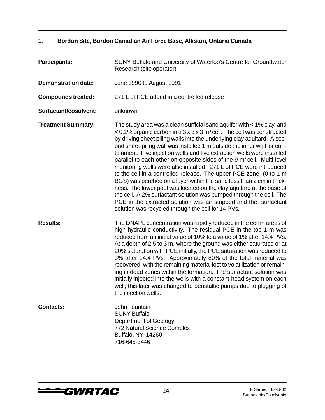#### **1. Bordon Site, Bordon Canadian Air Force Base, Alliston, Ontario Canada**

| <b>Participants:</b>       | SUNY Buffalo and University of Waterloo's Centre for Groundwater<br>Research (site operator)                                                                                                                                                                                                                                                                                                                                                                                                                                                                                                                                                                                                                                                                                                                                                                                                                                                                                      |  |
|----------------------------|-----------------------------------------------------------------------------------------------------------------------------------------------------------------------------------------------------------------------------------------------------------------------------------------------------------------------------------------------------------------------------------------------------------------------------------------------------------------------------------------------------------------------------------------------------------------------------------------------------------------------------------------------------------------------------------------------------------------------------------------------------------------------------------------------------------------------------------------------------------------------------------------------------------------------------------------------------------------------------------|--|
| <b>Demonstration date:</b> | June 1990 to August 1991                                                                                                                                                                                                                                                                                                                                                                                                                                                                                                                                                                                                                                                                                                                                                                                                                                                                                                                                                          |  |
| <b>Compounds treated:</b>  | 271 L of PCE added in a controlled release                                                                                                                                                                                                                                                                                                                                                                                                                                                                                                                                                                                                                                                                                                                                                                                                                                                                                                                                        |  |
| Surfactant/cosolvent:      | unknown                                                                                                                                                                                                                                                                                                                                                                                                                                                                                                                                                                                                                                                                                                                                                                                                                                                                                                                                                                           |  |
| <b>Treatment Summary:</b>  | The study area was a clean surficial sand aquifer with $<$ 1% clay, and<br>< 0.1% organic carbon in a 3 x 3 x 3 m <sup>3</sup> cell. The cell was constructed<br>by driving sheet piling walls into the underlying clay aquitard. A sec-<br>ond sheet-piling wall was installed 1 m outside the inner wall for con-<br>tainment. Five injection wells and five extraction wells were installed<br>parallel to each other on opposite sides of the 9 m <sup>2</sup> cell. Multi-level<br>monitoring wells were also installed. 271 L of PCE were introduced<br>to the cell in a controlled release. The upper PCE zone (0 to 1 m<br>BGS) was perched on a layer within the sand less than 2 cm in thick-<br>ness. The lower pool was located on the clay aquitard at the base of<br>the cell. A 2% surfactant solution was pumped through the cell. The<br>PCE in the extracted solution was air stripped and the surfactant<br>solution was recycled through the cell for 14 PVs. |  |
| <b>Results:</b>            | The DNAPL concentration was rapidly reduced in the cell in areas of<br>high hydraulic conductivity. The residual PCE in the top 1 m was<br>reduced from an initial value of 10% to a value of 1% after 14.4 PVs.<br>At a depth of 2.5 to 3 m, where the ground was either saturated or at<br>20% saturation with PCE initially, the PCE saturation was reduced to<br>3% after 14.4 PVs. Approximately 80% of the total material was<br>recovered, with the remaining material lost to volatilization or remain-<br>ing in dead zones within the formation. The surfactant solution was<br>initially injected into the wells with a constant-head system on each<br>well; this later was changed to peristaltic pumps due to plugging of<br>the injection wells.                                                                                                                                                                                                                   |  |
| <b>Contacts:</b>           | John Fountain<br><b>SUNY Buffalo</b><br>Department of Geology<br>772 Natural Science Complex<br>Buffalo, NY 14260<br>716-645-3446                                                                                                                                                                                                                                                                                                                                                                                                                                                                                                                                                                                                                                                                                                                                                                                                                                                 |  |

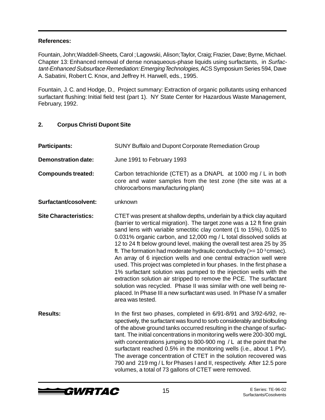Fountain, John; Waddell-Sheets, Carol ; Lagowski, Alison; Taylor, Craig; Frazier, Dave; Byrne, Michael. Chapter 13: Enhanced removal of dense nonaqueous-phase liquids using surfactants, in Surfactant-Enhanced Subsurface Remediation: Emerging Technologies, ACS Symposium Series 594, Dave A. Sabatini, Robert C. Knox, and Jeffrey H. Harwell, eds., 1995.

Fountain, J. C. and Hodge, D., Project summary: Extraction of organic pollutants using enhanced surfactant flushing: Initial field test (part 1). NY State Center for Hazardous Waste Management, February, 1992.

#### **2. Corpus Christi Dupont Site**

| <b>Participants:</b>         | <b>SUNY Buffalo and Dupont Corporate Remediation Group</b>                                                                                                                                                                                                                                                                                                                                                                                                                                                                                                                                                                                                                                                                                                                                                                                                                                                            |  |
|------------------------------|-----------------------------------------------------------------------------------------------------------------------------------------------------------------------------------------------------------------------------------------------------------------------------------------------------------------------------------------------------------------------------------------------------------------------------------------------------------------------------------------------------------------------------------------------------------------------------------------------------------------------------------------------------------------------------------------------------------------------------------------------------------------------------------------------------------------------------------------------------------------------------------------------------------------------|--|
| <b>Demonstration date:</b>   | June 1991 to February 1993                                                                                                                                                                                                                                                                                                                                                                                                                                                                                                                                                                                                                                                                                                                                                                                                                                                                                            |  |
| <b>Compounds treated:</b>    | Carbon tetrachloride (CTET) as a DNAPL at 1000 mg / L in both<br>core and water samples from the test zone (the site was at a<br>chlorocarbons manufacturing plant)                                                                                                                                                                                                                                                                                                                                                                                                                                                                                                                                                                                                                                                                                                                                                   |  |
| Surfactant/cosolvent:        | unknown                                                                                                                                                                                                                                                                                                                                                                                                                                                                                                                                                                                                                                                                                                                                                                                                                                                                                                               |  |
| <b>Site Characteristics:</b> | CTET was present at shallow depths, underlain by a thick clay aquitard<br>(barrier to vertical migration). The target zone was a 12 ft fine grain<br>sand lens with variable smectitic clay content (1 to 15%), 0.025 to<br>0.031% organic carbon, and 12,000 mg / L total dissolved solids at<br>12 to 24 ft below ground level, making the overall test area 25 by 35<br>ft. The formation had moderate hydraulic conductivity ( $>= 10^{-3}$ cmsec).<br>An array of 6 injection wells and one central extraction well were<br>used. This project was completed in four phases. In the first phase a<br>1% surfactant solution was pumped to the injection wells with the<br>extraction solution air stripped to remove the PCE. The surfactant<br>solution was recycled. Phase II was similar with one well being re-<br>placed. In Phase III a new surfactant was used. In Phase IV a smaller<br>area was tested. |  |
| <b>Results:</b>              | In the first two phases, completed in 6/91-8/91 and 3/92-6/92, re-<br>spectively, the surfactant was found to sorb considerably and biofouling<br>of the above ground tanks occurred resulting in the change of surfac-<br>tant. The initial concentrations in monitoring wells were 200-300 mgL<br>with concentrations jumping to 800-900 mg / L at the point that the<br>surfactant reached 0.5% in the monitoring wells (i.e., about 1 PV).<br>The average concentration of CTET in the solution recovered was<br>790 and 219 mg / L for Phases I and II, respectively. After 12.5 pore<br>volumes, a total of 73 gallons of CTET were removed.                                                                                                                                                                                                                                                                    |  |

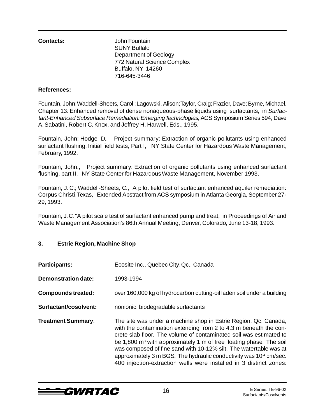**Contacts:** John Fountain SUNY Buffalo Department of Geology 772 Natural Science Complex Buffalo, NY 14260 716-645-3446

#### **References:**

Fountain, John; Waddell-Sheets, Carol ; Lagowski, Alison; Taylor, Craig; Frazier, Dave; Byrne, Michael. Chapter 13: Enhanced removal of dense nonaqueous-phase liquids using surfactants, in Surfactant-Enhanced Subsurface Remediation: Emerging Technologies, ACS Symposium Series 594, Dave A. Sabatini, Robert C. Knox, and Jeffrey H. Harwell, Eds., 1995.

Fountain, John; Hodge, D., Project summary: Extraction of organic pollutants using enhanced surfactant flushing: Initial field tests, Part I, NY State Center for Hazardous Waste Management, February, 1992.

Fountain, John., Project summary: Extraction of organic pollutants using enhanced surfactant flushing, part II, NY State Center for Hazardous Waste Management, November 1993.

Fountain, J. C.; Waddell-Sheets, C., A pilot field test of surfactant enhanced aquifer remediation: Corpus Christi, Texas, Extended Abstract from ACS symposium in Atlanta Georgia, September 27- 29, 1993.

Fountain, J. C. "A pilot scale test of surfactant enhanced pump and treat, in Proceedings of Air and Waste Management Association's 86th Annual Meeting, Denver, Colorado, June 13-18, 1993.

#### **3. Estrie Region, Machine Shop**

| <b>Participants:</b>       | Ecosite Inc., Quebec City, Qc., Canada                                                                                                                                                                                                                                                                                                                                                                                                                                                                                     |  |
|----------------------------|----------------------------------------------------------------------------------------------------------------------------------------------------------------------------------------------------------------------------------------------------------------------------------------------------------------------------------------------------------------------------------------------------------------------------------------------------------------------------------------------------------------------------|--|
| <b>Demonstration date:</b> | 1993-1994                                                                                                                                                                                                                                                                                                                                                                                                                                                                                                                  |  |
| <b>Compounds treated:</b>  | over 160,000 kg of hydrocarbon cutting-oil laden soil under a building                                                                                                                                                                                                                                                                                                                                                                                                                                                     |  |
| Surfactant/cosolvent:      | nonionic, biodegradable surfactants                                                                                                                                                                                                                                                                                                                                                                                                                                                                                        |  |
| <b>Treatment Summary:</b>  | The site was under a machine shop in Estrie Region, Qc, Canada,<br>with the contamination extending from 2 to 4.3 m beneath the con-<br>crete slab floor. The volume of contaminated soil was estimated to<br>be 1,800 m <sup>3</sup> with approximately 1 m of free floating phase. The soil<br>was composed of fine sand with 10-12% silt. The watertable was at<br>approximately 3 m BGS. The hydraulic conductivity was 10 <sup>-4</sup> cm/sec.<br>400 injection-extraction wells were installed in 3 distinct zones: |  |

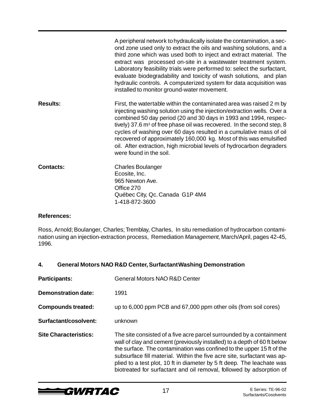|                  | A peripheral network to hydraulically isolate the contamination, a sec-<br>ond zone used only to extract the oils and washing solutions, and a<br>third zone which was used both to inject and extract material. The<br>extract was processed on-site in a wastewater treatment system.<br>Laboratory feasibility trials were performed to: select the surfactant,<br>evaluate biodegradability and toxicity of wash solutions, and plan<br>hydraulic controls. A computerized system for data acquisition was<br>installed to monitor ground-water movement. |
|------------------|---------------------------------------------------------------------------------------------------------------------------------------------------------------------------------------------------------------------------------------------------------------------------------------------------------------------------------------------------------------------------------------------------------------------------------------------------------------------------------------------------------------------------------------------------------------|
| <b>Results:</b>  | First, the watertable within the contaminated area was raised 2 m by<br>injecting washing solution using the injection/extraction wells. Over a<br>combined 50 day period (20 and 30 days in 1993 and 1994, respec-<br>tively) 37.6 m <sup>3</sup> of free phase oil was recovered. In the second step, 8<br>cycles of washing over 60 days resulted in a cumulative mass of oil<br>recovered of approximately 160,000 kg. Most of this was emulsified<br>oil. After extraction, high microbial levels of hydrocarbon degraders<br>were found in the soil.    |
| <b>Contacts:</b> | <b>Charles Boulanger</b><br>Ecosite, Inc.<br>965 Newton Ave.<br>Office 270<br>Québec City, Qc. Canada G1P 4M4<br>1-418-872-3600                                                                                                                                                                                                                                                                                                                                                                                                                               |

Ross, Arnold; Boulanger, Charles; Tremblay, Charles, In situ remediation of hydrocarbon contamination using an injection-extraction process, Remediation Management, March/April, pages 42-45, 1996.

#### **4. General Motors NAO R&D Center, Surfactant Washing Demonstration**

| <b>Participants:</b>         | <b>General Motors NAO R&amp;D Center</b>                                                                                                                                                                                                                                                                                                                                                                                                               |  |
|------------------------------|--------------------------------------------------------------------------------------------------------------------------------------------------------------------------------------------------------------------------------------------------------------------------------------------------------------------------------------------------------------------------------------------------------------------------------------------------------|--|
| Demonstration date:          | 1991                                                                                                                                                                                                                                                                                                                                                                                                                                                   |  |
| <b>Compounds treated:</b>    | up to 6,000 ppm PCB and 67,000 ppm other oils (from soil cores)                                                                                                                                                                                                                                                                                                                                                                                        |  |
| Surfactant/cosolvent:        | unknown                                                                                                                                                                                                                                                                                                                                                                                                                                                |  |
| <b>Site Characteristics:</b> | The site consisted of a five acre parcel surrounded by a containment<br>wall of clay and cement (previously installed) to a depth of 60 ft below<br>the surface. The contamination was confined to the upper 15 ft of the<br>subsurface fill material. Within the five acre site, surfactant was ap-<br>plied to a test plot, 10 ft in diameter by 5 ft deep. The leachate was<br>biotreated for surfactant and oil removal, followed by adsorption of |  |

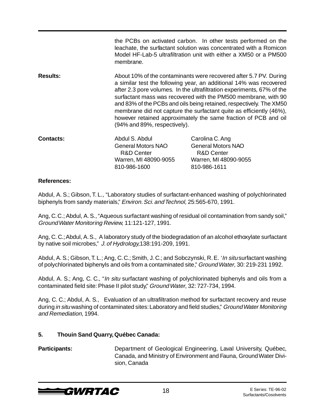|                  | membrane.                                          | the PCBs on activated carbon. In other tests performed on the<br>leachate, the surfactant solution was concentrated with a Romicon<br>Model HF-Lab-5 ultrafiltration unit with either a XM50 or a PM500                                                                                                                                                                                                                                                                                                                              |  |
|------------------|----------------------------------------------------|--------------------------------------------------------------------------------------------------------------------------------------------------------------------------------------------------------------------------------------------------------------------------------------------------------------------------------------------------------------------------------------------------------------------------------------------------------------------------------------------------------------------------------------|--|
| <b>Results:</b>  |                                                    | About 10% of the contaminants were recovered after 5.7 PV. During<br>a similar test the following year, an additional 14% was recovered<br>after 2.3 pore volumes. In the ultrafiltration experiments, 67% of the<br>surfactant mass was recovered with the PM500 membrane, with 90<br>and 83% of the PCBs and oils being retained, respectively. The XM50<br>membrane did not capture the surfactant quite as efficiently (46%),<br>however retained approximately the same fraction of PCB and oil<br>(94% and 89%, respectively). |  |
| <b>Contacts:</b> | Abdul S. Abdul                                     | Carolina C. Ang                                                                                                                                                                                                                                                                                                                                                                                                                                                                                                                      |  |
|                  | <b>General Motors NAO</b><br><b>R&amp;D Center</b> | <b>General Motors NAO</b><br><b>R&amp;D Center</b>                                                                                                                                                                                                                                                                                                                                                                                                                                                                                   |  |
|                  | Warren, MI 48090-9055                              | Warren, MI 48090-9055                                                                                                                                                                                                                                                                                                                                                                                                                                                                                                                |  |
|                  | 810-986-1600                                       | 810-986-1611                                                                                                                                                                                                                                                                                                                                                                                                                                                                                                                         |  |

Abdul, A. S.; Gibson, T. L., "Laboratory studies of surfactant-enhanced washing of polychlorinated biphenyls from sandy materials," Environ. Sci. and Technol, 25:565-670, 1991.

Ang, C. C.; Abdul, A. S., "Aqueous surfactant washing of residual oil contamination from sandy soil," Ground Water Monitoring Review, 11:121-127, 1991.

Ang, C. C.; Abdul, A. S., A laboratory study of the biodegradation of an alcohol ethoxylate surfactant by native soil microbes," J. of Hydrology,138:191-209, 1991.

Abdul, A. S.; Gibson, T. L.; Ang, C. C.; Smith, J. C.; and Sobczynski, R. E. '*In situ* surfactant washing of polychlorinated biphenyls and oils from a contaminated site," Ground Water, 30: 219-231 1992.

Abdul, A. S.; Ang, C. C., "*In situ* surfactant washing of polychlorinated biphenyls and oils from a contaminated field site: Phase II pilot study," Ground Water, 32: 727-734, 1994.

Ang, C. C.; Abdul, A. S., Evaluation of an ultrafiltration method for surfactant recovery and reuse during in situ washing of contaminated sites: Laboratory and field studies," Ground Water Monitoring and Remediation, 1994.

#### **5. Thouin Sand Quarry, Québec Canada:**

**Participants: Department of Geological Engineering, Laval University, Québec,** Canada, and Ministry of Environment and Fauna, Ground Water Division, Canada

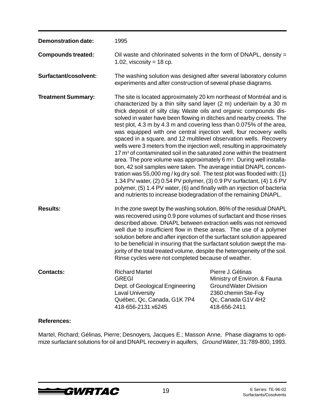| <b>Demonstration date:</b> | 1995                                                                                                                                                                                                                                                                                                                                                                                                                                                                                                                                                                                                                                                                                                                                                                                                                                                                                                                                                                                                                                                                                                                                      |                                                                                                                                                |
|----------------------------|-------------------------------------------------------------------------------------------------------------------------------------------------------------------------------------------------------------------------------------------------------------------------------------------------------------------------------------------------------------------------------------------------------------------------------------------------------------------------------------------------------------------------------------------------------------------------------------------------------------------------------------------------------------------------------------------------------------------------------------------------------------------------------------------------------------------------------------------------------------------------------------------------------------------------------------------------------------------------------------------------------------------------------------------------------------------------------------------------------------------------------------------|------------------------------------------------------------------------------------------------------------------------------------------------|
| <b>Compounds treated:</b>  | Oil waste and chlorinated solvents in the form of DNAPL, density =<br>1.02, viscosity = $18$ cp.                                                                                                                                                                                                                                                                                                                                                                                                                                                                                                                                                                                                                                                                                                                                                                                                                                                                                                                                                                                                                                          |                                                                                                                                                |
| Surfactant/cosolvent:      | The washing solution was designed after several laboratory column<br>experiments and after construction of several phase diagrams.                                                                                                                                                                                                                                                                                                                                                                                                                                                                                                                                                                                                                                                                                                                                                                                                                                                                                                                                                                                                        |                                                                                                                                                |
| <b>Treatment Summary:</b>  | The site is located approximately 20 km northeast of Montréal and is<br>characterized by a thin silty sand layer (2 m) underlain by a 30 m<br>thick deposit of silty clay. Waste oils and organic compounds dis-<br>solved in water have been flowing in ditches and nearby creeks. The<br>test plot, 4.3 m by 4.3 m and covering less than 0.075% of the area,<br>was equipped with one central injection well, four recovery wells<br>spaced in a square, and 12 multilevel observation wells. Recovery<br>wells were 3 meters from the injection well, resulting in approximately<br>17 m <sup>3</sup> of contaminated soil in the saturated zone within the treatment<br>area. The pore volume was approximately 6 m <sup>3</sup> . During well installa-<br>tion, 42 soil samples were taken. The average initial DNAPL concen-<br>tration was 55,000 mg / kg dry soil. The test plot was flooded with: (1)<br>1.34 PV water, (2) 0.54 PV polymer, (3) 0.9 PV surfactant, (4) 1.6 PV<br>polymer, (5) 1.4 PV water, (6) and finally with an injection of bacteria<br>and nutrients to increase biodegradation of the remaining DNAPL. |                                                                                                                                                |
| <b>Results:</b>            | In the zone swept by the washing solution, 86% of the residual DNAPL<br>was recovered using 0.9 pore volumes of surfactant and those rinses<br>described above. DNAPL between extraction wells was not removed<br>well due to insufficient flow in these areas. The use of a polymer<br>solution before and after injection of the surfactant solution appeared<br>to be beneficial in insuring that the surfactant solution swept the ma-<br>jority of the total treated volume, despite the heterogeneity of the soil.<br>Rinse cycles were not completed because of weather.                                                                                                                                                                                                                                                                                                                                                                                                                                                                                                                                                           |                                                                                                                                                |
| <b>Contacts:</b>           | <b>Richard Martel</b><br><b>GREGI</b><br>Dept. of Geological Engineering<br><b>Laval University</b><br>Québec, Qc, Canada, G1K 7P4<br>418-656-2131 x6245                                                                                                                                                                                                                                                                                                                                                                                                                                                                                                                                                                                                                                                                                                                                                                                                                                                                                                                                                                                  | Pierre J. Gélinas<br>Ministry of Environ. & Fauna<br><b>Ground Water Division</b><br>2360 chemin Ste-Foy<br>Qc, Canada G1V 4H2<br>418-656-2411 |

Martel, Richard; Gélinas, Pierre; Desnoyers, Jacques E.; Masson Anne, Phase diagrams to optimize surfactant solutions for oil and DNAPL recovery in aquifers, Ground Water, 31:789-800, 1993.

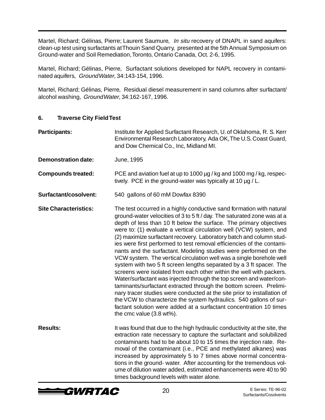Martel, Richard; Gélinas, Pierre; Laurent Saumure, In situ recovery of DNAPL in sand aquifers: clean-up test using surfactants at Thouin Sand Quarry, presented at the 5th Annual Symposium on Ground-water and Soil Remediation, Toronto, Ontario Canada, Oct. 2-6, 1995.

Martel, Richard; Gélinas, Pierre, Surfactant solutions developed for NAPL recovery in contaminated aquifers, Ground Water, 34:143-154, 1996.

Martel, Richard; Gélinas, Pierre, Residual diesel measurement in sand columns after surfactant/ alcohol washing, Ground Water, 34:162-167, 1996.

#### **6. Traverse City Field Test**

| Participants:                | Institute for Applied Surfactant Research, U. of Oklahoma, R. S. Kerr<br>Environmental Research Laboratory, Ada OK, The U.S. Coast Guard,<br>and Dow Chemical Co., Inc, Midland MI.                                                                                                                                                                                                                                                                                                                                                                                                                                                                                                                                                                                                                                                                                                                                                                                                                                                                                                                                                    |  |
|------------------------------|----------------------------------------------------------------------------------------------------------------------------------------------------------------------------------------------------------------------------------------------------------------------------------------------------------------------------------------------------------------------------------------------------------------------------------------------------------------------------------------------------------------------------------------------------------------------------------------------------------------------------------------------------------------------------------------------------------------------------------------------------------------------------------------------------------------------------------------------------------------------------------------------------------------------------------------------------------------------------------------------------------------------------------------------------------------------------------------------------------------------------------------|--|
| <b>Demonstration date:</b>   | June, 1995                                                                                                                                                                                                                                                                                                                                                                                                                                                                                                                                                                                                                                                                                                                                                                                                                                                                                                                                                                                                                                                                                                                             |  |
| <b>Compounds treated:</b>    | PCE and aviation fuel at up to 1000 µg / kg and 1000 mg / kg, respec-<br>tively. PCE in the ground-water was typically at 10 $\mu$ g / L.                                                                                                                                                                                                                                                                                                                                                                                                                                                                                                                                                                                                                                                                                                                                                                                                                                                                                                                                                                                              |  |
| Surfactant/cosolvent:        | 540 gallons of 60 mM Dowfax 8390                                                                                                                                                                                                                                                                                                                                                                                                                                                                                                                                                                                                                                                                                                                                                                                                                                                                                                                                                                                                                                                                                                       |  |
| <b>Site Characteristics:</b> | The test occurred in a highly conductive sand formation with natural<br>ground-water velocities of 3 to 5 ft / day. The saturated zone was at a<br>depth of less than 10 ft below the surface. The primary objectives<br>were to: (1) evaluate a vertical circulation well (VCW) system, and<br>(2) maximize surfactant recovery. Laboratory batch and column stud-<br>ies were first performed to test removal efficiencies of the contami-<br>nants and the surfactant. Modeling studies were performed on the<br>VCW system. The vertical circulation well was a single borehole well<br>system with two 5 ft screen lengths separated by a 3 ft spacer. The<br>screens were isolated from each other within the well with packers.<br>Water/surfactant was injected through the top screen and water/con-<br>taminants/surfactant extracted through the bottom screen. Prelimi-<br>nary tracer studies were conducted at the site prior to installation of<br>the VCW to characterize the system hydraulics. 540 gallons of sur-<br>factant solution were added at a surfactant concentration 10 times<br>the cmc value (3.8 wt%). |  |
| <b>Results:</b>              | It was found that due to the high hydraulic conductivity at the site, the<br>extraction rate necessary to capture the surfactant and solubilized<br>contaminants had to be about 10 to 15 times the injection rate. Re-<br>moval of the contaminant (i.e., PCE and methylated alkanes) was<br>increased by approximately 5 to 7 times above normal concentra-<br>tions in the ground- water. After accounting for the tremendous vol-<br>ume of dilution water added, estimated enhancements were 40 to 90<br>times background levels with water alone.                                                                                                                                                                                                                                                                                                                                                                                                                                                                                                                                                                                |  |

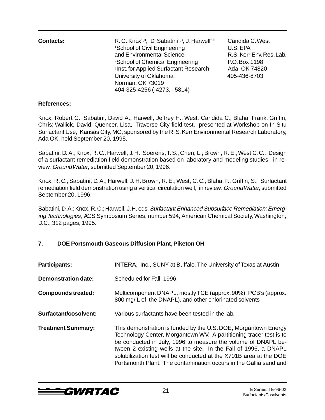| <b>Contacts:</b> | R.C. Knox <sup>1,3</sup> , D. Sabatini <sup>1,3</sup> , J. Harwell <sup>2,3</sup><br><sup>1</sup> School of Civil Engineering<br>and Environmental Science<br><sup>2</sup> School of Chemical Engineering<br><sup>3</sup> Inst. for Applied Surfactant Research<br>University of Oklahoma<br>Norman, OK 73019 | Candida C. West<br>U.S. EPA<br>R.S. Kerr Env. Res. Lab.<br>P.O. Box 1198<br>Ada, OK 74820<br>405-436-8703 |
|------------------|---------------------------------------------------------------------------------------------------------------------------------------------------------------------------------------------------------------------------------------------------------------------------------------------------------------|-----------------------------------------------------------------------------------------------------------|
|                  | 404-325-4256 (-4273, -5814)                                                                                                                                                                                                                                                                                   |                                                                                                           |

Knox, Robert C.; Sabatini, David A.; Harwell, Jeffrey H.; West, Candida C.; Blaha, Frank; Griffin, Chris; Wallick, David; Quencer, Lisa, Traverse City field test, presented at Workshop on In Situ Surfactant Use, Kansas City, MO, sponsored by the R. S. Kerr Environmental Research Laboratory, Ada OK, held September 20, 1995.

Sabatini, D. A.; Knox, R. C.; Harwell, J. H.; Soerens, T. S.; Chen, L.; Brown, R. E.; West C. C., Design of a surfactant remediation field demonstration based on laboratory and modeling studies, in review, Ground Water, submitted September 20, 1996.

Knox, R. C.; Sabatini, D. A.; Harwell, J. H. Brown, R. E.; West, C. C.; Blaha, F., Griffin, S., Surfactant remediation field demonstration using a vertical circulation well, in review, Ground Water, submitted September 20, 1996.

Sabatini, D. A.; Knox, R. C.; Harwell, J. H. eds. Surfactant Enhanced Subsurface Remediation: Emerging Technologies, ACS Symposium Series, number 594, American Chemical Society, Washington, D.C., 312 pages, 1995.

#### **7. DOE Portsmouth Gaseous Diffusion Plant, Piketon OH**

| <b>Participants:</b>       | INTERA, Inc., SUNY at Buffalo, The University of Texas at Austin                                                                                                                                                                                                                                                                                                                                                      |
|----------------------------|-----------------------------------------------------------------------------------------------------------------------------------------------------------------------------------------------------------------------------------------------------------------------------------------------------------------------------------------------------------------------------------------------------------------------|
| <b>Demonstration date:</b> | Scheduled for Fall, 1996                                                                                                                                                                                                                                                                                                                                                                                              |
| <b>Compounds treated:</b>  | Multicomponent DNAPL, mostly TCE (approx. 90%), PCB's (approx.<br>800 mg/L of the DNAPL), and other chlorinated solvents                                                                                                                                                                                                                                                                                              |
| Surfactant/cosolvent:      | Various surfactants have been tested in the lab.                                                                                                                                                                                                                                                                                                                                                                      |
| <b>Treatment Summary:</b>  | This demonstration is funded by the U.S. DOE, Morgantown Energy<br>Technology Center, Morgantown WV. A partitioning tracer test is to<br>be conducted in July, 1996 to measure the volume of DNAPL be-<br>tween 2 existing wells at the site. In the Fall of 1996, a DNAPL<br>solubilization test will be conducted at the X701B area at the DOE<br>Portsmonth Plant. The contamination occurs in the Gallia sand and |

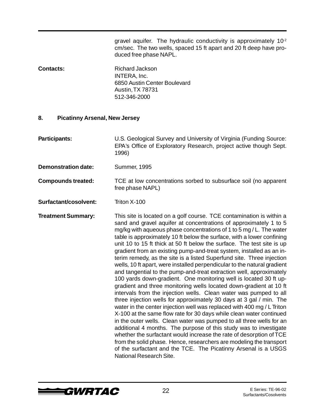gravel aquifer. The hydraulic conductivity is approximately  $10<sup>2</sup>$ cm/sec. The two wells, spaced 15 ft apart and 20 ft deep have produced free phase NAPL.

**Contacts:** Richard Jackson INTERA, Inc. 6850 Austin Center Boulevard Austin, TX 78731 512-346-2000

#### **8. Picatinny Arsenal, New Jersey**

**Participants:** U.S. Geological Survey and University of Virginia (Funding Source: EPA's Office of Exploratory Research, project active though Sept. 1996)

**Demonstration date:** Summer, 1995

**Compounds treated:** TCE at low concentrations sorbed to subsurface soil (no apparent free phase NAPL)

**Surfactant/cosolvent:** Triton X-100

**Treatment Summary:** This site is located on a golf course. TCE contamination is within a sand and gravel aquifer at concentrations of approximately 1 to 5 mg/kg with aqueous phase concentrations of 1 to 5 mg / L. The water table is approximately 10 ft below the surface, with a lower confining unit 10 to 15 ft thick at 50 ft below the surface. The test site is up gradient from an existing pump-and-treat system, installed as an interim remedy, as the site is a listed Superfund site. Three injection wells, 10 ft apart, were installed perpendicular to the natural gradient and tangential to the pump-and-treat extraction well, approximately 100 yards down-gradient. One monitoring well is located 30 ft upgradient and three monitoring wells located down-gradient at 10 ft intervals from the injection wells. Clean water was pumped to all three injection wells for approximately 30 days at 3 gal / min. The water in the center injection well was replaced with 400 mg / L Triton X-100 at the same flow rate for 30 days while clean water continued in the outer wells. Clean water was pumped to all three wells for an additional 4 months. The purpose of this study was to investigate whether the surfactant would increase the rate of desorption of TCE from the solid phase. Hence, researchers are modeling the transport of the surfactant and the TCE. The Picatinny Arsenal is a USGS National Research Site.

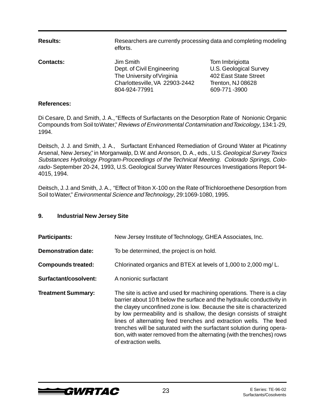| <b>Results:</b>  | Researchers are currently processing data and completing modeling<br>efforts.                                            |                                                                                                                |
|------------------|--------------------------------------------------------------------------------------------------------------------------|----------------------------------------------------------------------------------------------------------------|
| <b>Contacts:</b> | Jim Smith<br>Dept. of Civil Engineering<br>The University of Virginia<br>Charlottesville, VA 22903-2442<br>804-924-77991 | Tom Imbrigiotta<br><b>U.S. Geological Survey</b><br>402 East State Street<br>Trenton, NJ 08628<br>609-771-3900 |

Di Cesare, D. and Smith, J. A., "Effects of Surfactants on the Desorption Rate of Nonionic Organic Compounds from Soil to Water," Reviews of Environmental Contamination and Toxicology, 134:1-29, 1994.

Deitsch, J. J. and Smith, J. A., Surfactant Enhanced Remediation of Ground Water at Picatinny Arsenal, New Jersey," in Morganwalp, D. W. and Aronson, D. A., eds., U.S. Geological Survey Toxics Substances Hydrology Program-Proceedings of the Technical Meeting. Colorado Springs, Colorado- September 20-24, 1993, U.S. Geological Survey Water Resources Investigations Report 94- 4015, 1994.

Deitsch, J. J. and Smith, J. A., "Effect of Triton X-100 on the Rate of Trichloroethene Desorption from Soil to Water," Environmental Science and Technology, 29:1069-1080, 1995.

#### **9. Industrial New Jersey Site**

| <b>Participants:</b>       | New Jersey Institute of Technology, GHEA Associates, Inc.                                                                                                                                                                                                                                                                                                                                                                                                                                                                                       |
|----------------------------|-------------------------------------------------------------------------------------------------------------------------------------------------------------------------------------------------------------------------------------------------------------------------------------------------------------------------------------------------------------------------------------------------------------------------------------------------------------------------------------------------------------------------------------------------|
| <b>Demonstration date:</b> | To be determined, the project is on hold.                                                                                                                                                                                                                                                                                                                                                                                                                                                                                                       |
| <b>Compounds treated:</b>  | Chlorinated organics and BTEX at levels of 1,000 to 2,000 mg/L.                                                                                                                                                                                                                                                                                                                                                                                                                                                                                 |
| Surfactant/cosolvent:      | A nonionic surfactant                                                                                                                                                                                                                                                                                                                                                                                                                                                                                                                           |
| <b>Treatment Summary:</b>  | The site is active and used for machining operations. There is a clay<br>barrier about 10 ft below the surface and the hydraulic conductivity in<br>the clayey unconfined zone is low. Because the site is characterized<br>by low permeability and is shallow, the design consists of straight<br>lines of alternating feed trenches and extraction wells. The feed<br>trenches will be saturated with the surfactant solution during opera-<br>tion, with water removed from the alternating (with the trenches) rows<br>of extraction wells. |

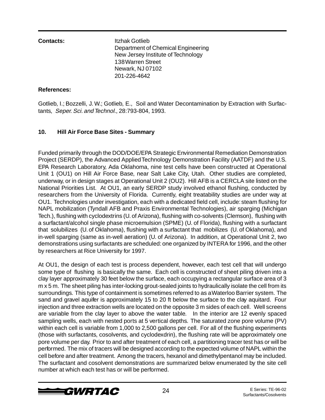**Contacts:** Itzhak Gotlieb Department of Chemical Engineering New Jersey Institute of Technology 138 Warren Street Newark, NJ 07102 201-226-4642

#### **References:**

Gotlieb, I.; Bozzelli, J. W.; Gotlieb, E., Soil and Water Decontamination by Extraction with Surfactants, Seper. Sci. and Technol., 28:793-804, 1993.

#### **10. Hill Air Force Base Sites - Summary**

Funded primarily through the DOD/DOE/EPA Strategic Environmental Remediation Demonstration Project (SERDP), the Advanced Applied Technology Demonstration Facility (AATDF) and the U.S. EPA Research Laboratory, Ada Oklahoma, nine test cells have been constructed at Operational Unit 1 (OU1) on Hill Air Force Base, near Salt Lake City, Utah. Other studies are completed, underway, or in design stages at Operational Unit 2 (OU2). Hill AFB is a CERCLA site listed on the National Priorities List. At OU1, an early SERDP study involved ethanol flushing, conducted by researchers from the University of Florida. Currently, eight treatability studies are under way at OU1. Technologies under investigation, each with a dedicated field cell, include: steam flushing for NAPL mobilization (Tyndall AFB and Praxis Environmental Technologies), air sparging (Michigan Tech.), flushing with cyclodextrins (U. of Arizona), flushing with co-solvents (Clemson), flushing with a surfactant/alcohol single phase microemulsion (SPME) (U. of Florida), flushing with a surfactant that solubilizes (U. of Oklahoma), flushing with a surfactant that mobilizes (U. of Oklahoma), and in-well sparging (same as in-well aeration) (U. of Arizona). In addition, at Operational Unit 2, two demonstrations using surfactants are scheduled: one organized by INTERA for 1996, and the other by researchers at Rice University for 1997.

At OU1, the design of each test is process dependent, however, each test cell that will undergo some type of flushing is basically the same. Each cell is constructed of sheet piling driven into a clay layer approximately 30 feet below the surface, each occupying a rectangular surface area of 3 m x 5 m. The sheet piling has inter-locking grout-sealed joints to hydraulically isolate the cell from its surroundings. This type of containment is sometimes referred to as a Waterloo Barrier system. The sand and gravel aquifer is approximately 15 to 20 ft below the surface to the clay aquitard. Four injection and three extraction wells are located on the opposite 3 m sides of each cell. Well screens are variable from the clay layer to above the water table. In the interior are 12 evenly spaced sampling wells, each with nested ports at 5 vertical depths. The saturated zone pore volume (PV) within each cell is variable from 1,000 to 2,500 gallons per cell. For all of the flushing experiments (those with surfactants, cosolvents, and cyclodexdrin), the flushing rate will be approximately one pore volume per day. Prior to and after treatment of each cell, a partitioning tracer test has or will be performed. The mix of tracers will be designed according to the expected volume of NAPL within the cell before and after treatment. Among the tracers, hexanol and dimethylpentanol may be included. The surfactant and cosolvent demonstrations are summarized below enumerated by the site cell number at which each test has or will be performed.

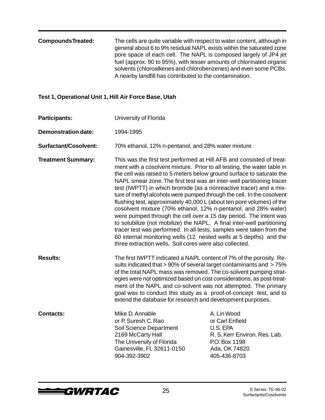| <b>CompoundsTreated:</b> | The cells are quite variable with respect to water content, although in |
|--------------------------|-------------------------------------------------------------------------|
|                          | general about 6 to 9% residual NAPL exists within the saturated zone    |
|                          | pore space of each cell. The NAPL is composed largely of JP4 jet        |
|                          | fuel (approx. 90 to 95%), with lesser amounts of chlorinated organic    |
|                          | solvents (chloroalkenes and chlorobenzenes) and even some PCBs.         |
|                          | A nearby landfill has contributed to the contamination.                 |

#### **Test 1, Operational Unit 1, Hill Air Force Base, Utah**

**Participants:** University of Florida **Demonstration date:** 1994-1995 **Surfactant/Cosolvent:** 70% ethanol, 12% n-pentanol, and 28% water mixture **Treatment Summary:** This was the first test performed at Hill AFB and consisted of treatment with a cosolvent mixture. Prior to all testing, the water table in the cell was raised to 5 meters below ground surface to saturate the NAPL smear zone. The first test was an inter-well partitioning tracer test (IWPTT) in which bromide (as a nonreactive tracer) and a mixture of methyl alcohols were pumped through the cell. In the cosolvent flushing test, approximately 40,000 L (about ten pore volumes) of the cosolvent mixture (70% ethanol, 12% n-pentanol, and 28% water) were pumped through the cell over a 15 day period. The intent was to solubilize (not mobilize) the NAPL. A final inter-well partitioning tracer test was performed. In all tests, samples were taken from the 60 internal monitoring wells (12 nested wells at 5 depths) and the three extraction wells. Soil cores were also collected. **Results:** The first IWPTT indicated a NAPL content of 7% of the porosity. Results indicated that > 90% of several target contaminants and > 75% of the total NAPL mass was removed. The co-solvent pumping strategies were not optimized based on cost considerations, as post-treatment of the NAPL and co-solvent was not attempted. The primary goal was to conduct this study as a proof-of-concept test, and to extend the database for research and development purposes. **Contacts:** Mike D. Annable A. Lin Wood or P. Suresh C. Rao **by C. American** or Carl Enfield Soil Science Department U.S. EPA 2169 McCarty Hall R. S. Kerr Environ. Res. Lab. The University of Florida P.O. Box 1198 Gainesville, FL 32611-0150 Ada, OK 74820 904-392-3902 405-436-8703

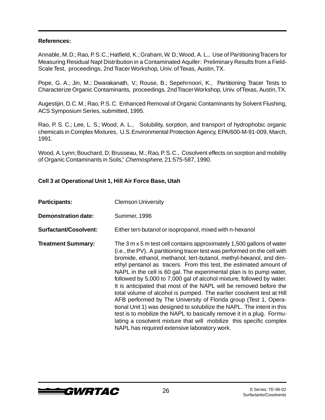Annable, M. D.; Rao, P. S. C.; Hatfield, K.; Graham, W. D.; Wood, A. L., Use of Partitioning Tracers for Measuring Residual Napl Distribution in a Contaminated Aquifer: Preliminary Results from a Field-Scale Test, proceedings, 2nd Tracer Workshop, Univ. of Texas, Austin, TX.

Pope, G. A.; Jin, M.; Dwarakanath, V.; Rouse, B.; Sepehrnoori, K., Partitioning Tracer Tests to Characterize Organic Contaminants, proceedings, 2nd Tracer Workshop, Univ. of Texas, Austin, TX.

Augestijin, D. C. M.; Rao, P. S. C. Enhanced Removal of Organic Contaminants by Solvent Flushing, ACS Symposium Series, submitted, 1995.

Rao, P. S. C.; Lee, L. S.; Wood, A. L., Solubility, sorption, and transport of hydrophobic organic chemicals in Complex Mixtures, U.S. Environmental Protection Agency, EPA/600-M-91-009, March, 1991.

Wood, A. Lynn; Bouchard, D; Brusseau, M.; Rao, P. S. C., Cosolvent effects on sorption and mobility of Organic Contaminants in Soils," Chemosphere, 21:575-587, 1990.

#### **Cell 3 at Operational Unit 1, Hill Air Force Base, Utah**

| <b>Participants:</b>         | <b>Clemson University</b>                                                                                                                                                                                                                                                                                                                                                                                                                                                                                                                                                                                                                                                                                                                                                                                                                                                                                                                   |
|------------------------------|---------------------------------------------------------------------------------------------------------------------------------------------------------------------------------------------------------------------------------------------------------------------------------------------------------------------------------------------------------------------------------------------------------------------------------------------------------------------------------------------------------------------------------------------------------------------------------------------------------------------------------------------------------------------------------------------------------------------------------------------------------------------------------------------------------------------------------------------------------------------------------------------------------------------------------------------|
| <b>Demonstration date:</b>   | <b>Summer, 1996</b>                                                                                                                                                                                                                                                                                                                                                                                                                                                                                                                                                                                                                                                                                                                                                                                                                                                                                                                         |
| <b>Surfactant/Cosolvent:</b> | Either tert-butanol or isopropanol, mixed with n-hexanol                                                                                                                                                                                                                                                                                                                                                                                                                                                                                                                                                                                                                                                                                                                                                                                                                                                                                    |
| <b>Treatment Summary:</b>    | The 3 m x 5 m test cell contains approximately 1,500 gallons of water<br>(i.e., the PV). A partitioning tracer test was performed on the cell with<br>bromide, ethanol, methanol, tert-butanol, methyl-hexanol, and dim-<br>ethyl pentanol as tracers. From this test, the estimated amount of<br>NAPL in the cell is 60 gal. The experimental plan is to pump water,<br>followed by 5,000 to 7,000 gal of alcohol mixture, followed by water.<br>It is anticipated that most of the NAPL will be removed before the<br>total volume of alcohol is pumped. The earlier cosolvent test at Hill<br>AFB performed by The University of Florida group (Test 1, Opera-<br>tional Unit 1) was designed to solubilize the NAPL. The intent in this<br>test is to mobilize the NAPL to basically remove it in a plug. Formu-<br>lating a cosolvent mixture that will mobilize this specific complex<br>NAPL has required extensive laboratory work. |

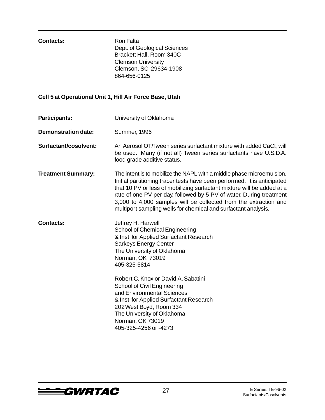#### **Contacts:** Ron Falta

Dept. of Geological Sciences Brackett Hall, Room 340C Clemson University Clemson, SC 29634-1908 864-656-0125

#### **Cell 5 at Operational Unit 1, Hill Air Force Base, Utah**

- **Participants:** University of Oklahoma **Demonstration date:** Summer, 1996
- **Surfactant/cosolvent:** An Aerosol OT/Tween series surfactant mixture with added CaCl<sub>2</sub> will be used. Many (if not all) Tween series surfactants have U.S.D.A. food grade additive status.
- **Treatment Summary:** The intent is to mobilize the NAPL with a middle phase microemulsion. Initial partitioning tracer tests have been performed. It is anticipated that 10 PV or less of mobilizing surfactant mixture will be added at a rate of one PV per day, followed by 5 PV of water. During treatment 3,000 to 4,000 samples will be collected from the extraction and multiport sampling wells for chemical and surfactant analysis.
- **Contacts:** Jeffrey H. Harwell School of Chemical Engineering & Inst. for Applied Surfactant Research Sarkeys Energy Center The University of Oklahoma Norman, OK 73019 405-325-5814
	- Robert C. Knox or David A. Sabatini School of Civil Engineering and Environmental Sciences & Inst. for Applied Surfactant Research 202 West Boyd, Room 334 The University of Oklahoma Norman, OK 73019 405-325-4256 or -4273

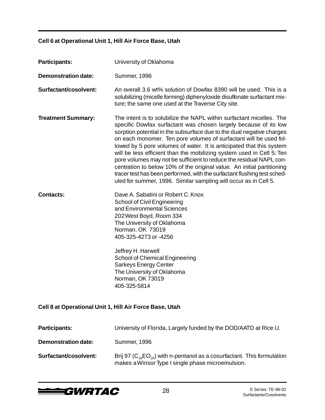### **Cell 6 at Operational Unit 1, Hill Air Force Base, Utah**

| <b>Participants:</b>                                    | University of Oklahoma                                                                                                                                                                                                                                                                                                                                                                                                                                                                                                                                                                                                                                                                                                                   |  |
|---------------------------------------------------------|------------------------------------------------------------------------------------------------------------------------------------------------------------------------------------------------------------------------------------------------------------------------------------------------------------------------------------------------------------------------------------------------------------------------------------------------------------------------------------------------------------------------------------------------------------------------------------------------------------------------------------------------------------------------------------------------------------------------------------------|--|
| <b>Demonstration date:</b>                              | <b>Summer, 1996</b>                                                                                                                                                                                                                                                                                                                                                                                                                                                                                                                                                                                                                                                                                                                      |  |
| Surfactant/cosolvent:                                   | An overall 3.6 wt% solution of Dowfax 8390 will be used. This is a<br>solubilizing (micelle forming) diphenyloxide disulfonate surfactant mix-<br>ture; the same one used at the Traverse City site.                                                                                                                                                                                                                                                                                                                                                                                                                                                                                                                                     |  |
| <b>Treatment Summary:</b>                               | The intent is to solubilize the NAPL within surfactant micelles. The<br>specific Dowfax surfactant was chosen largely because of its low<br>sorption potential in the subsurface due to the dual negative charges<br>on each monomer. Ten pore volumes of surfactant will be used fol-<br>lowed by 5 pore volumes of water. It is anticipated that this system<br>will be less efficient than the mobilizing system used in Cell 5: Ten<br>pore volumes may not be sufficient to reduce the residual NAPL con-<br>centration to below 10% of the original value. An initial partitioning<br>tracer test has been performed, with the surfactant flushing test sched-<br>uled for summer, 1996. Similar sampling will occur as in Cell 5. |  |
| <b>Contacts:</b>                                        | Dave A. Sabatini or Robert C. Knox<br><b>School of Civil Engineering</b><br>and Environmental Sciences<br>202 West Boyd, Room 334<br>The University of Oklahoma<br>Norman, OK 73019<br>405-325-4273 or -4256<br>Jeffrey H. Harwell<br><b>School of Chemical Engineering</b><br><b>Sarkeys Energy Center</b><br>The University of Oklahoma<br>Norman, OK 73019<br>405-325-5814                                                                                                                                                                                                                                                                                                                                                            |  |
| Cell 8 at Operational Unit 1, Hill Air Force Base, Utah |                                                                                                                                                                                                                                                                                                                                                                                                                                                                                                                                                                                                                                                                                                                                          |  |
| <b>Participants:</b>                                    | University of Florida, Largely funded by the DOD/AATD at Rice U.                                                                                                                                                                                                                                                                                                                                                                                                                                                                                                                                                                                                                                                                         |  |
| <b>Demonstration date:</b>                              | Summer, 1996                                                                                                                                                                                                                                                                                                                                                                                                                                                                                                                                                                                                                                                                                                                             |  |
| Surfactant/cosolvent:                                   | Brij 97 ( $C_{18}EO_{20}$ ) with n-pentanol as a cosurfactant. This formulation<br>makes a Winsor Type I single phase microemulsion.                                                                                                                                                                                                                                                                                                                                                                                                                                                                                                                                                                                                     |  |

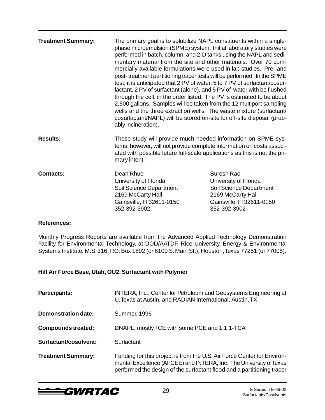| <b>Treatment Summary:</b> | The primary goal is to solubilize NAPL constituents within a single-<br>phase microemulsion (SPME) system. Initial laboratory studies were<br>performed in batch, column, and 2-D tanks using the NAPL and sedi-<br>mentary material from the site and other materials. Over 70 com-<br>mercially available formulations were used in lab studies. Pre- and<br>post-treatment partitioning tracer tests will be performed. In the SPME<br>test, it is anticipated that 2 PV of water, 5 to 7 PV of surfactant/cosur-<br>factant, 2 PV of surfactant (alone), and 5 PV of water with be flushed<br>through the cell, in the order listed. The PV is estimated to be about<br>2,500 gallons. Samples will be taken from the 12 multiport sampling<br>wells and the three extraction wells. The waste mixture (surfactant/<br>cosurfactant/NAPL) will be stored on-site for off-site disposal (prob-<br>ably incineration). |                                                                                                                                  |
|---------------------------|--------------------------------------------------------------------------------------------------------------------------------------------------------------------------------------------------------------------------------------------------------------------------------------------------------------------------------------------------------------------------------------------------------------------------------------------------------------------------------------------------------------------------------------------------------------------------------------------------------------------------------------------------------------------------------------------------------------------------------------------------------------------------------------------------------------------------------------------------------------------------------------------------------------------------|----------------------------------------------------------------------------------------------------------------------------------|
| <b>Results:</b>           | These study will provide much needed information on SPME sys-<br>tems, however, will not provide complete information on costs associ-<br>ated with possible future full-scale applications as this is not the pri-<br>mary intent.                                                                                                                                                                                                                                                                                                                                                                                                                                                                                                                                                                                                                                                                                      |                                                                                                                                  |
| <b>Contacts:</b>          | Dean Rhue<br>University of Florida<br>Soil Science Department<br>2169 McCarty Hall<br>Gainsville, FI 32611-0150<br>352-392-3902                                                                                                                                                                                                                                                                                                                                                                                                                                                                                                                                                                                                                                                                                                                                                                                          | Suresh Rao<br>University of Florida<br>Soil Science Department<br>2169 McCarty Hall<br>Gainsville, FI 32611-0150<br>352-392-3902 |

Monthly Progress Reports are available from the Advanced Applied Technology Demonstration Facility for Environmental Technology, at DOD/AATDF, Rice University, Energy & Environmental Systems Institute, M.S. 316, P.O. Box 1892 (or 6100 S. Main St.), Houston, Texas 77251 (or 77005).

#### **Hill Air Force Base, Utah, OU2, Surfactant with Polymer**

| <b>Participants:</b>       | INTERA, Inc., Center for Petroleum and Geosystems Engineering at<br>U. Texas at Austin, and RADIAN International, Austin, TX                                                                                            |
|----------------------------|-------------------------------------------------------------------------------------------------------------------------------------------------------------------------------------------------------------------------|
| <b>Demonstration date:</b> | <b>Summer, 1996</b>                                                                                                                                                                                                     |
| <b>Compounds treated:</b>  | DNAPL, mostly TCE with some PCE and 1,1,1-TCA                                                                                                                                                                           |
| Surfactant/cosolvent:      | Surfactant                                                                                                                                                                                                              |
| <b>Treatment Summary:</b>  | Funding for this project is from the U.S. Air Force Center for Environ-<br>mental Excellence (AFCEE) and INTERA, Inc. The University of Texas<br>performed the design of the surfactant flood and a partitioning tracer |

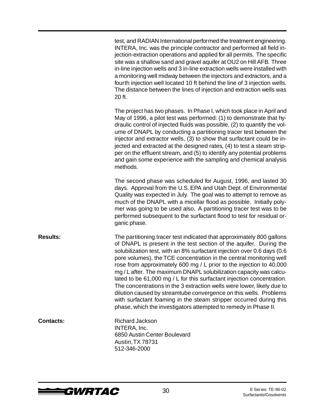|                  | test, and RADIAN International performed the treatment engineering.<br>INTERA, Inc. was the principle contractor and performed all field in-<br>jection-extraction operations and applied for all permits. The specific<br>site was a shallow sand and gravel aquifer at OU2 on Hill AFB. Three<br>in-line injection wells and 3 in-line extraction wells were installed with<br>a monitoring well midway between the injectors and extractors, and a<br>fourth injection well located 10 ft behind the line of 3 injection wells.<br>The distance between the lines of injection and extraction wells was<br>20 ft.                                                                                                                                                                                         |
|------------------|--------------------------------------------------------------------------------------------------------------------------------------------------------------------------------------------------------------------------------------------------------------------------------------------------------------------------------------------------------------------------------------------------------------------------------------------------------------------------------------------------------------------------------------------------------------------------------------------------------------------------------------------------------------------------------------------------------------------------------------------------------------------------------------------------------------|
|                  | The project has two phases. In Phase I, which took place in April and<br>May of 1996, a pilot test was performed: (1) to demonstrate that hy-<br>draulic control of injected fluids was possible, (2) to quantify the vol-<br>ume of DNAPL by conducting a partitioning tracer test between the<br>injector and extractor wells, (3) to show that surfactant could be in-<br>jected and extracted at the designed rates, (4) to test a steam strip-<br>per on the effluent stream, and (5) to identify any potential problems<br>and gain some experience with the sampling and chemical analysis<br>methods.                                                                                                                                                                                                |
|                  | The second phase was scheduled for August, 1996, and lasted 30<br>days. Approval from the U.S. EPA and Utah Dept. of Environmental<br>Quality was expected in July. The goal was to attempt to remove as<br>much of the DNAPL with a micellar flood as possible. Initially poly-<br>mer was going to be used also. A partitioning tracer test was to be<br>performed subsequent to the surfactant flood to test for residual or-<br>ganic phase.                                                                                                                                                                                                                                                                                                                                                             |
| <b>Results:</b>  | The partitioning tracer test indicated that approximately 800 gallons<br>of DNAPL is present in the test section of the aquifer. During the<br>solubilization test, with an 8% surfactant injection over 0.6 days (0.6<br>pore volumes), the TCE concentration in the central monitoring well<br>rose from approximately 600 mg / L prior to the injection to 40,000<br>mg / L after. The maximum DNAPL solubilization capacity was calcu-<br>lated to be 61,000 mg / L for this surfactant injection concentration.<br>The concentrations in the 3 extraction wells were lower, likely due to<br>dilution caused by streamtube convergence on this wells. Problems<br>with surfactant foaming in the steam stripper occurred during this<br>phase, which the investigators attempted to remedy in Phase II. |
| <b>Contacts:</b> | Richard Jackson<br>INTERA, Inc.<br>6850 Austin Center Boulevard<br>Austin, TX 78731<br>512-346-2000                                                                                                                                                                                                                                                                                                                                                                                                                                                                                                                                                                                                                                                                                                          |

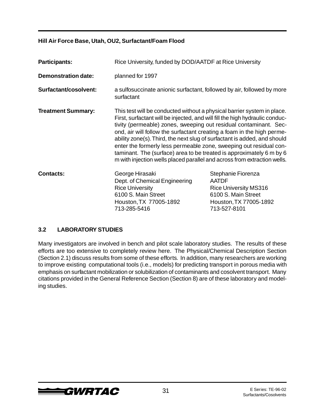#### **Hill Air Force Base, Utah, OU2, Surfactant/Foam Flood**

| <b>Participants:</b>       | Rice University, funded by DOD/AATDF at Rice University                                                                                                                                                                                                                                                                                                                                                                                                                                                                                                                                                      |                                                                                                                                     |
|----------------------------|--------------------------------------------------------------------------------------------------------------------------------------------------------------------------------------------------------------------------------------------------------------------------------------------------------------------------------------------------------------------------------------------------------------------------------------------------------------------------------------------------------------------------------------------------------------------------------------------------------------|-------------------------------------------------------------------------------------------------------------------------------------|
| <b>Demonstration date:</b> | planned for 1997                                                                                                                                                                                                                                                                                                                                                                                                                                                                                                                                                                                             |                                                                                                                                     |
| Surfactant/cosolvent:      | a sulfosuccinate anionic surfactant, followed by air, followed by more<br>surfactant                                                                                                                                                                                                                                                                                                                                                                                                                                                                                                                         |                                                                                                                                     |
| <b>Treatment Summary:</b>  | This test will be conducted without a physical barrier system in place.<br>First, surfactant will be injected, and will fill the high hydraulic conduc-<br>tivity (permeable) zones, sweeping out residual contaminant. Sec-<br>ond, air will follow the surfactant creating a foam in the high perme-<br>ability zone(s). Third, the next slug of surfactant is added, and should<br>enter the formerly less permeable zone, sweeping out residual con-<br>taminant. The (surface) area to be treated is approximately 6 m by 6<br>m with injection wells placed parallel and across from extraction wells. |                                                                                                                                     |
| <b>Contacts:</b>           | George Hirasaki<br>Dept. of Chemical Engineering<br><b>Rice University</b><br>6100 S. Main Street<br>Houston, TX 77005-1892<br>713-285-5416                                                                                                                                                                                                                                                                                                                                                                                                                                                                  | Stephanie Fiorenza<br><b>AATDF</b><br><b>Rice University MS316</b><br>6100 S. Main Street<br>Houston, TX 77005-1892<br>713-527-8101 |

#### **3.2 LABORATORY STUDIES**

Many investigators are involved in bench and pilot scale laboratory studies. The results of these efforts are too extensive to completely review here. The Physical/Chemical Description Section (Section 2.1) discuss results from some of these efforts. In addition, many researchers are working to improve existing computational tools (i.e., models) for predicting transport in porous media with emphasis on surfactant mobilization or solubilization of contaminants and cosolvent transport. Many citations provided in the General Reference Section (Section 8) are of these laboratory and modeling studies.

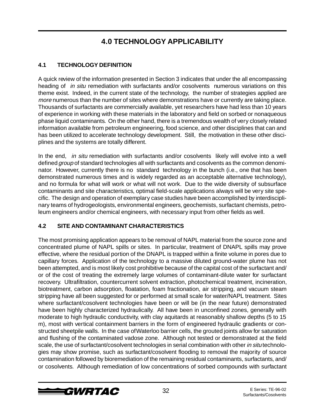### **4.0 TECHNOLOGY APPLICABILITY**

### **4.1 TECHNOLOGY DEFINITION**

A quick review of the information presented in Section 3 indicates that under the all encompassing heading of *in situ* remediation with surfactants and/or cosolvents numerous variations on this theme exist. Indeed, in the current state of the technology, the number of strategies applied are more numerous than the number of sites where demonstrations have or currently are taking place. Thousands of surfactants are commercially available, yet researchers have had less than 10 years of experience in working with these materials in the laboratory and field on sorbed or nonaqueous phase liquid contaminants. On the other hand, there is a tremendous wealth of very closely related information available from petroleum engineering, food science, and other disciplines that can and has been utilized to accelerate technology development. Still, the motivation in these other disciplines and the systems are totally different.

In the end, *in situ* remediation with surfactants and/or cosolvents likely will evolve into a well defined group of standard technologies all with surfactants and cosolvents as the common denominator. However, currently there is no standard technology in the bunch (i.e., one that has been demonstrated numerous times and is widely regarded as an acceptable alternative technology), and no formula for what will work or what will not work. Due to the wide diversity of subsurface contaminants and site characteristics, optimal field-scale applications always will be very site specific. The design and operation of exemplary case studies have been accomplished by interdisciplinary teams of hydrogeologists, environmental engineers, geochemists, surfactant chemists, petroleum engineers and/or chemical engineers, with necessary input from other fields as well.

#### **4.2 SITE AND CONTAMINANT CHARACTERISTICS**

The most promising application appears to be removal of NAPL material from the source zone and concentrated plume of NAPL spills or sites. In particular, treatment of DNAPL spills may prove effective, where the residual portion of the DNAPL is trapped within a finite volume in pores due to capillary forces. Application of the technology to a massive diluted ground-water plume has not been attempted, and is most likely cost prohibitive because of the capital cost of the surfactant and/ or of the cost of treating the extremely large volumes of contaminant-dilute water for surfactant recovery. Ultrafiltration, countercurrent solvent extraction, photochemical treatment, incineration, biotreatment, carbon adsorption, floatation, foam fractionation, air stripping, and vacuum steam stripping have all been suggested for or performed at small scale for water/NAPL treatment. Sites where surfactant/cosolvent technologies have been or will be (in the near future) demonstrated have been highly characterized hydraulically. All have been in unconfined zones, generally with moderate to high hydraulic conductivity, with clay aquitards at reasonably shallow depths (5 to 15 m), most with vertical containment barriers in the form of engineered hydraulic gradients or constructed sheetpile walls. In the case of Waterloo barrier cells, the grouted joints allow for saturation and flushing of the contaminated vadose zone. Although not tested or demonstrated at the field scale, the use of surfactant/cosolvent technologies in serial combination with other in situ technologies may show promise, such as surfactant/cosolvent flooding to removal the majority of source contamination followed by bioremediation of the remaining residual contaminants, surfactants, and/ or cosolvents. Although remediation of low concentrations of sorbed compounds with surfactant

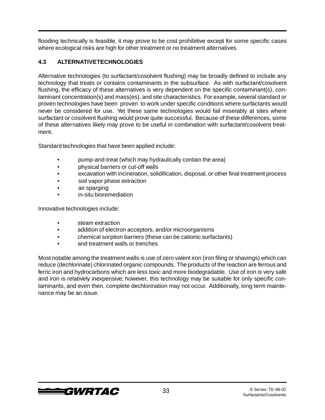flooding technically is feasible, it may prove to be cost prohibitive except for some specific cases where ecological risks are high for other treatment or no treatment alternatives.

#### **4.3 ALTERNATIVE TECHNOLOGIES**

Alternative technologies (to surfactant/cosolvent flushing) may be broadly defined to include any technology that treats or contains contaminants in the subsurface. As with surfactant/cosolvent flushing, the efficacy of these alternatives is very dependent on the specific contaminant(s), contaminant concentration(s) and mass(es), and site characteristics. For example, several standard or proven technologies have been proven to work under specific conditions where surfactants would never be considered for use. Yet these same technologies would fail miserably at sites where surfactant or cosolvent flushing would prove quite successful. Because of these differences, some of these alternatives likely may prove to be useful in combination with surfactant/cosolvent treatment.

Standard technologies that have been applied include:

- pump-and-treat (which may hydraulically contain the area)
- physical barriers or cut-off walls
- excavation with incineration, solidification, disposal, or other final treatment process
- soil vapor phase extraction
- air sparging
- in-situ bioremediation

Innovative technologies include:

- steam extraction
- addition of electron acceptors, and/or microorganisms
- chemical sorption barriers (these can be cationic surfactants)
- and treatment walls or trenches

Most notable among the treatment walls is use of zero valent iron (iron filing or shavings) which can reduce (dechlorinate) chlorinated organic compounds. The products of the reaction are ferrous and ferric iron and hydrocarbons which are less toxic and more biodegradable. Use of iron is very safe and iron is relatively inexpensive; however, this technology may be suitable for only specific contaminants, and even then, complete dechlorination may not occur. Additionally, long term maintenance may be an issue.

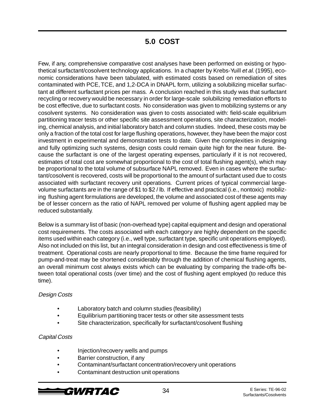### **5.0 COST**

Few, if any, comprehensive comparative cost analyses have been performed on existing or hypothetical surfactant/cosolvent technology applications. In a chapter by Krebs-Yuill et al. (1995), economic considerations have been tabulated, with estimated costs based on remediation of sites contaminated with PCE, TCE, and 1,2-DCA in DNAPL form, utilizing a solubilizing micellar surfactant at different surfactant prices per mass. A conclusion reached in this study was that surfactant recycling or recovery would be necessary in order for large-scale solubilizing remediation efforts to be cost effective, due to surfactant costs. No consideration was given to mobilizing systems or any cosolvent systems. No consideration was given to costs associated with: field-scale equilibrium partitioning tracer tests or other specific site assessment operations, site characterization, modeling, chemical analysis, and initial laboratory batch and column studies. Indeed, these costs may be only a fraction of the total cost for large flushing operations, however, they have been the major cost investment in experimental and demonstration tests to date. Given the complexities in designing and fully optimizing such systems, design costs could remain quite high for the near future. Because the surfactant is one of the largest operating expenses, particularly if it is not recovered, estimates of total cost are somewhat proportional to the cost of total flushing agent(s), which may be proportional to the total volume of subsurface NAPL removed. Even in cases where the surfactant/cosolvent is recovered, costs will be proportional to the amount of surfactant used due to costs associated with surfactant recovery unit operations. Current prices of typical commercial largevolume surfactants are in the range of \$1 to \$2 / lb. If effective and practical (i.e., nontoxic) mobilizing flushing agent formulations are developed, the volume and associated cost of these agents may be of lesser concern as the ratio of NAPL removed per volume of flushing agent applied may be reduced substantially.

Below is a summary list of basic (non-overhead type) capital equipment and design and operational cost requirements. The costs associated with each category are highly dependent on the specific items used within each category (i.e., well type, surfactant type, specific unit operations employed). Also not included on this list, but an integral consideration in design and cost effectiveness is time of treatment. Operational costs are nearly proportional to time. Because the time frame required for pump-and-treat may be shortened considerably through the addition of chemical flushing agents, an overall minimum cost always exists which can be evaluating by comparing the trade-offs between total operational costs (over time) and the cost of flushing agent employed (to reduce this time).

#### Design Costs

- Laboratory batch and column studies (feasibility)
- Equilibrium partitioning tracer tests or other site assessment tests
- Site characterization, specifically for surfactant/cosolvent flushing

#### Capital Costs

- Injection/recovery wells and pumps
- Barrier construction, if any
- Contaminant/surfactant concentration/recovery unit operations
- Contaminant destruction unit operations

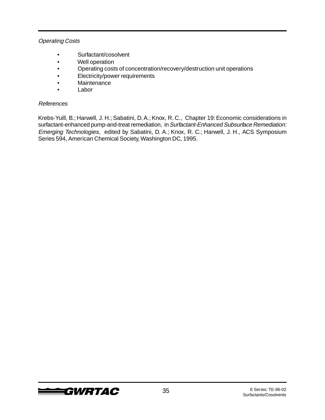#### Operating Costs

- Surfactant/cosolvent
- Well operation
- Operating costs of concentration/recovery/destruction unit operations
- Electricity/power requirements
- Maintenance
- **Labor**

#### References

Krebs-Yuill, B.; Harwell, J. H.; Sabatini, D. A.; Knox, R. C., Chapter 19: Economic considerations in surfactant-enhanced pump-and-treat remediation, in Surfactant-Enhanced Subsurface Remediation: Emerging Technologies, edited by Sabatini, D. A.; Knox, R. C.; Harwell, J. H., ACS Symposium Series 594, American Chemical Society, Washington DC, 1995.

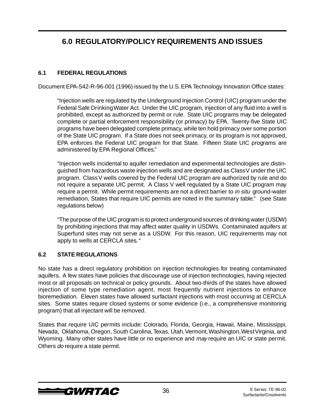### **6.0 REGULATORY/POLICY REQUIREMENTS AND ISSUES**

#### **6.1 FEDERAL REGULATIONS**

Document EPA-542-R-96-001 (1996) issued by the U.S. EPA Technology Innovation Office states:

"Injection wells are regulated by the Underground Injection Control (UIC) program under the Federal Safe Drinking Water Act. Under the UIC program, injection of any fluid into a well is prohibited, except as authorized by permit or rule. State UIC programs may be delegated complete or partial enforcement responsibility (or primacy) by EPA. Twenty-five State UIC programs have been delegated complete primacy, while ten hold primacy over some portion of the State UIC program. If a State does not seek primacy, or its program is not approved, EPA enforces the Federal UIC program for that State. Fifteen State UIC programs are administered by EPA Regional Offices."

"Injection wells incidental to aquifer remediation and experimental technologies are distinguished from hazardous waste injection wells and are designated as Class V under the UIC program. Class V wells covered by the Federal UIC program are authorized by rule and do not require a separate UIC permit. A Class V well regulated by a State UIC program may require a permit. While permit requirements are not a direct barrier to in situ ground-water remediation, States that require UIC permits are noted in the summary table." (see State regulations below)

"The purpose of the UIC program is to protect underground sources of drinking water (USDW) by prohibiting injections that may affect water quality in USDWs. Contaminated aquifers at Superfund sites may not serve as a USDW. For this reason, UIC requirements may not apply to wells at CERCLA sites. "

#### **6.2 STATE REGULATIONS**

No state has a direct regulatory prohibition on injection technologies for treating contaminated aquifers. A few states have policies that discourage use of injection technologies, having rejected most or all proposals on technical or policy grounds. About two-thirds of the states have allowed injection of some type remediation agent, most frequently nutrient injections to enhance bioremediation. Eleven states have allowed surfactant injections with most occurring at CERCLA sites. Some states require closed systems or some evidence (i.e., a comprehensive monitoring program) that all injectant will be removed.

States that require UIC permits include: Colorado, Florida, Georgia, Hawaii, Maine, Mississippi, Nevada, Oklahoma, Oregon, South Carolina, Texas, Utah, Vermont, Washington, West Virginia, and Wyoming. Many other states have little or no experience and may require an UIC or state permit. Others do require a state permit.

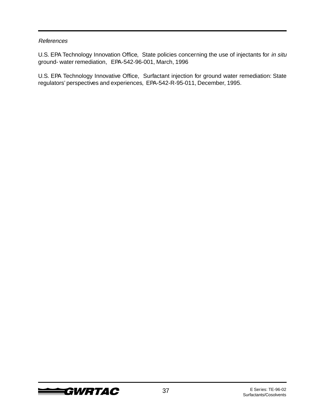U.S. EPA Technology Innovation Office, State policies concerning the use of injectants for in situ ground- water remediation, EPA-542-96-001, March, 1996

U.S. EPA Technology Innovative Office, Surfactant injection for ground water remediation: State regulators' perspectives and experiences, EPA-542-R-95-011, December, 1995.

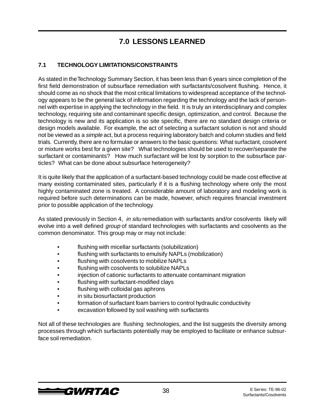### **7.0 LESSONS LEARNED**

#### **7.1 TECHNOLOGY LIMITATIONS/CONSTRAINTS**

As stated in the Technology Summary Section, it has been less than 6 years since completion of the first field demonstration of subsurface remediation with surfactants/cosolvent flushing. Hence, it should come as no shock that the most critical limitations to widespread acceptance of the technology appears to be the general lack of information regarding the technology and the lack of personnel with expertise in applying the technology in the field. It is truly an interdisciplinary and complex technology, requiring site and contaminant specific design, optimization, and control. Because the technology is new and its application is so site specific, there are no standard design criteria or design models available. For example, the act of selecting a surfactant solution is not and should not be viewed as a simple act, but a process requiring laboratory batch and column studies and field trials. Currently, there are no formulae or answers to the basic questions: What surfactant, cosolvent or mixture works best for a given site? What technologies should be used to recover/separate the surfactant or contaminants? How much surfactant will be lost by sorption to the subsurface particles? What can be done about subsurface heterogeneity?

It is quite likely that the application of a surfactant-based technology could be made cost effective at many existing contaminated sites, particularly if it is a flushing technology where only the most highly contaminated zone is treated. A considerable amount of laboratory and modeling work is required before such determinations can be made, however, which requires financial investment prior to possible application of the technology.

As stated previously in Section 4, in situ remediation with surfactants and/or cosolvents likely will evolve into a well defined *group* of standard technologies with surfactants and cosolvents as the common denominator. This group may or may not include:

- flushing with micellar surfactants (solubilization)
- flushing with surfactants to emulsify NAPLs (mobilization)
- flushing with cosolvents to mobilize NAPLs
- flushing with cosolvents to solubilize NAPLs
- injection of cationic surfactants to attenuate contaminant migration
- flushing with surfactant-modified clays
- flushing with colloidal gas aphrons
- in situ biosurfactant production
- formation of surfactant foam barriers to control hydraulic conductivity
- excavation followed by soil washing with surfactants

Not all of these technologies are flushing technologies, and the list suggests the diversity among processes through which surfactants potentially may be employed to facilitate or enhance subsurface soil remediation.

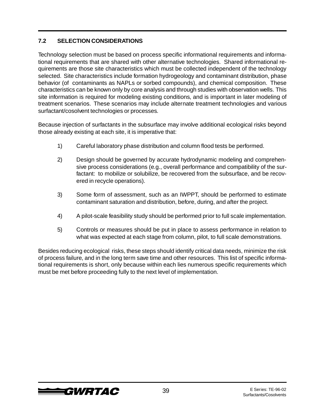#### **7.2 SELECTION CONSIDERATIONS**

Technology selection must be based on process specific informational requirements and informational requirements that are shared with other alternative technologies. Shared informational requirements are those site characteristics which must be collected independent of the technology selected. Site characteristics include formation hydrogeology and contaminant distribution, phase behavior (of contaminants as NAPLs or sorbed compounds), and chemical composition. These characteristics can be known only by core analysis and through studies with observation wells. This site information is required for modeling existing conditions, and is important in later modeling of treatment scenarios. These scenarios may include alternate treatment technologies and various surfactant/cosolvent technologies or processes.

Because injection of surfactants in the subsurface may involve additional ecological risks beyond those already existing at each site, it is imperative that:

- 1) Careful laboratory phase distribution and column flood tests be performed.
- 2) Design should be governed by accurate hydrodynamic modeling and comprehensive process considerations (e.g., overall performance and compatibility of the surfactant: to mobilize or solubilize, be recovered from the subsurface, and be recovered in recycle operations).
- 3) Some form of assessment, such as an IWPPT, should be performed to estimate contaminant saturation and distribution, before, during, and after the project.
- 4) A pilot-scale feasibility study should be performed prior to full scale implementation.
- 5) Controls or measures should be put in place to assess performance in relation to what was expected at each stage from column, pilot, to full scale demonstrations.

Besides reducing ecological risks, these steps should identify critical data needs, minimize the risk of process failure, and in the long term save time and other resources. This list of specific informational requirements is short, only because within each lies numerous specific requirements which must be met before proceeding fully to the next level of implementation.

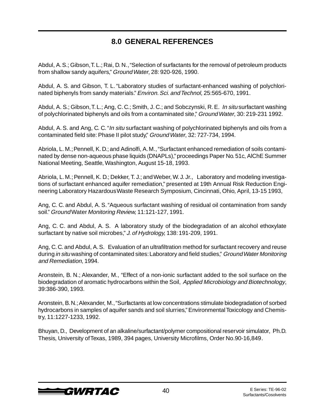### **8.0 GENERAL REFERENCES**

Abdul, A. S.; Gibson, T. L.; Rai, D. N., "Selection of surfactants for the removal of petroleum products from shallow sandy aquifers," Ground Water, 28: 920-926, 1990.

Abdul, A. S. and Gibson, T. L. "Laboratory studies of surfactant-enhanced washing of polychlorinated biphenyls from sandy materials." Environ. Sci. and Technol, 25:565-670, 1991.

Abdul, A. S.; Gibson, T. L.; Ang, C. C.; Smith, J. C.; and Sobczynski, R. E. In situ surfactant washing of polychlorinated biphenyls and oils from a contaminated site," Ground Water, 30: 219-231 1992.

Abdul, A. S. and Ang, C. C. "In situ surfactant washing of polychlorinated biphenyls and oils from a contaminated field site: Phase II pilot study," Ground Water, 32: 727-734, 1994.

Abriola, L. M.; Pennell, K. D.; and Adinolfi, A. M., "Surfactant enhanced remediation of soils contaminated by dense non-aqueous phase liquids (DNAPLs)," proceedings Paper No. 51c, AlChE Summer National Meeting, Seattle, Washington, August 15-18, 1993.

Abriola, L. M.; Pennell, K. D.; Dekker, T. J.; and Weber, W. J. Jr., Laboratory and modeling investigations of surfactant enhanced aquifer remediation," presented at 19th Annual Risk Reduction Engineering Laboratory Hazardous Waste Research Symposium, Cincinnati, Ohio, April, 13-15 1993,

Ang, C. C. and Abdul, A. S. "Aqueous surfactant washing of residual oil contamination from sandy soil." Ground Water Monitoring Review, 11:121-127, 1991.

Ang, C. C. and Abdul, A. S. A laboratory study of the biodegradation of an alcohol ethoxylate surfactant by native soil microbes," J. of Hydrology, 138: 191-209, 1991.

Ang, C. C. and Abdul, A. S. Evaluation of an ultrafiltration method for surfactant recovery and reuse during in situ washing of contaminated sites: Laboratory and field studies," Ground Water Monitoring and Remediation, 1994.

Aronstein, B. N.; Alexander, M., "Effect of a non-ionic surfactant added to the soil surface on the biodegradation of aromatic hydrocarbons within the Soil, Applied Microbiology and Biotechnology, 39:386-390, 1993.

Aronstein, B. N.; Alexander, M., "Surfactants at low concentrations stimulate biodegradation of sorbed hydrocarbons in samples of aquifer sands and soil slurries," Environmental Toxicology and Chemistry, 11:1227-1233, 1992.

Bhuyan, D., Development of an alkaline/surfactant/polymer compositional reservoir simulator, Ph.D. Thesis, University of Texas, 1989, 394 pages, University Microfilms, Order No.90-16,849.

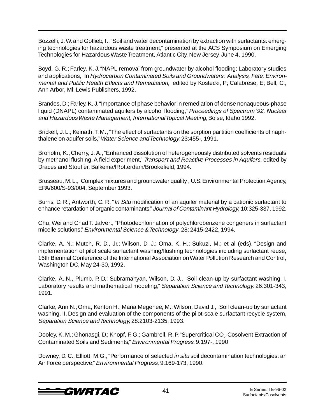Bozzelli, J. W. and Gotlieb, I., "Soil and water decontamination by extraction with surfactants: emerging technologies for hazardous waste treatment," presented at the ACS Symposium on Emerging Technologies for Hazardous Waste Treatment, Atlantic City, New Jersey, June 4, 1990.

Boyd, G. R.; Farley, K. J. "NAPL removal from groundwater by alcohol flooding: Laboratory studies and applications, In Hydrocarbon Contaminated Soils and Groundwaters: Analysis, Fate, Environmental and Public Health Effects and Remediation, edited by Kostecki, P; Calabrese, E; Bell, C., Ann Arbor, Ml: Lewis Publishers, 1992.

Brandes, D.; Farley, K. J. "Importance of phase behavior in remediation of dense nonaqueous-phase liquid (DNAPL) contaminated aquifers by alcohol flooding," Proceedings of Spectrum '92, Nuclear and Hazardous Waste Management, International Topical Meeting, Boise, Idaho 1992.

Brickell, J. L.; Keinath, T. M., "The effect of surfactants on the sorption partition coefficients of naphthalene on aquifer soils," Water Science and Technology, 23:455-, 1991.

Broholm, K.; Cherry, J. A., "Enhanced dissolution of heterogeneously distributed solvents residuals by methanol flushing. A field experiment," Transport and Reactive Processes in Aquifers, edited by Draces and Stouffer, Balkema/lRotterdam/Brookefield, 1994.

Brusseau, M. L., Complex mixtures and groundwater quality , U.S. Environmental Protection Agency, EPA/600/S-93/004, September 1993.

Burris, D. R.; Antworth, C. P., "*In Situ* modification of an aquifer material by a cationic surfactant to enhance retardation of organic contaminants," Journal of Contaminant Hydrology, 10:325-337, 1992.

Chu, Wei and Chad T. Jafvert, "Photodechlorination of polychlorobenzene congeners in surfactant micelle solutions," Environmental Science & Technology, 28: 2415-2422, 1994.

Clarke, A. N.; Mutch, R. D., Jr.; Wilson, D. J.; Oma, K. H.; Sukuzi, M.; et al (eds). "Design and implementation of pilot scale surfactant washing/flushing technologies including surfactant reuse, 16th Biennial Conference of the International Association on Water Pollution Research and Control, Washington DC, May 24-30, 1992.

Clarke, A. N., Plumb, P. D.; Subramanyan, Wilson, D. J., Soil clean-up by surfactant washing. I. Laboratory results and mathematical modeling," Separation Science and Technology, 26:301-343, 1991.

Clarke, Ann N.; Oma, Kenton H.; Maria Megehee, M.; Wilson, David J., Soil clean-up by surfactant washing. II. Design and evaluation of the components of the pilot-scale surfactant recycle system, Separation Science and Technology, 28:2103-2135, 1993.

Dooley, K. M.; Ghonasgi, D.; Knopf, F. G.; Gambrell, R. P. "Supercritical CO<sub>2</sub>-Cosolvent Extraction of Contaminated Soils and Sediments," Environmental Progress. 9:197-, 1990

Downey, D. C.; Elliott, M.G., "Performance of selected in situ soil decontamination technologies: an Air Force perspective," Environmental Progress, 9:169-173, 1990.

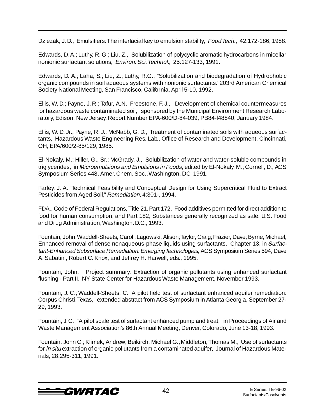Dziezak, J. D., Emulsifiers: The interfacial key to emulsion stability, Food Tech., 42:172-186, 1988.

Edwards, D. A.; Luthy, R. G.; Liu, Z., Solubilization of polycyclic aromatic hydrocarbons in micellar nonionic surfactant solutions, Environ. Sci. Technol., 25:127-133, 1991.

Edwards, D. A.; Laha, S.; Liu, Z.; Luthy, R.G., "Solubilization and biodegradation of Hydrophobic organic compounds in soil aqueous systems with nonionic surfactants." 203rd American Chemical Society National Meeting, San Francisco, California, April 5-10, 1992.

Ellis, W. D.; Payne, J. R.; Tafur, A.N.; Freestone, F. J., Development of chemical countermeasures for hazardous waste contaminated soil, sponsored by the Municipal Environment Research Laboratory, Edison, New Jersey. Report Number EPA-600/D-84-039, PB84-l48840, January 1984.

Ellis, W. D. Jr.; Payne, R. J.; McNabb, G. D., Treatment of contaminated soils with aqueous surfactants, Hazardous Waste Engineering Res. Lab., Office of Research and Development, Cincinnati, OH, EPA/600/2-85/129, 1985.

El-Nokaly, M.; Hiller, G., Sr.; McGrady, J., Solubilization of water and water-soluble compounds in triglycerides, in Microemulsions and Emulsions in Foods, edited by El-Nokaly, M.; Cornell, D., ACS Symposium Series 448, Amer. Chem. Soc., Washington, DC, 1991.

Farley, J. A. "Technical Feasibility and Conceptual Design for Using Supercritical Fluid to Extract Pesticides from Aged Soil," Remediation, 4:301-, 1994.

FDA., Code of Federal Regulations, Title 21. Part 172, Food additives permitted for direct addition to food for human consumption; and Part 182, Substances generally recognized as safe. U.S. Food and Drug Administration, Washington. D.C., 1993.

Fountain, John; Waddell-Sheets, Carol ; Lagowski, Alison; Taylor, Craig; Frazier, Dave; Byrne, Michael, Enhanced removal of dense nonaqueous-phase liquids using surfactants, Chapter 13, in Surfactant-Enhanced Subsurface Remediation: Emerging Technologies, ACS Symposium Series 594, Dave A. Sabatini, Robert C. Knox, and Jeffrey H. Harwell, eds., 1995.

Fountain, John, Project summary: Extraction of organic pollutants using enhanced surfactant flushing - Part II. NY State Center for Hazardous Waste Management, November 1993.

Fountain, J. C.; Waddell-Sheets, C. A pilot field test of surfactant enhanced aquifer remediation: Corpus Christi, Texas, extended abstract from ACS Symposium in Atlanta Georgia, September 27- 29, 1993.

Fountain, J. C., "A pilot scale test of surfactant enhanced pump and treat, in Proceedings of Air and Waste Management Association's 86th Annual Meeting, Denver, Colorado, June 13-18, 1993.

Fountain, John C.; Klimek, Andrew; Beikirch, Michael G.; Middleton, Thomas M., Use of surfactants for *in situ* extraction of organic pollutants from a contaminated aquifer, Journal of Hazardous Materials, 28:295-311, 1991.

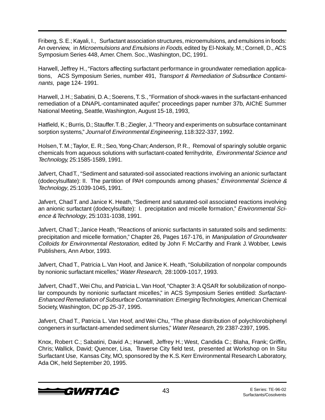Friberg, S. E.; Kayali, I., Surfactant association structures, microemulsions, and emulsions in foods: An overview, in Microemulsions and Emulsions in Foods, edited by El-Nokaly, M.; Cornell, D., ACS Symposium Series 448, Amer. Chem. Soc., Washington, DC, 1991.

Harwell, Jeffrey H., "Factors affecting surfactant performance in groundwater remediation applications, ACS Symposium Series, number 491, Transport & Remediation of Subsurface Contaminants, page 124- 1991.

Harwell, J. H.; Sabatini, D. A.; Soerens, T. S., "Formation of shock-waves in the surfactant-enhanced remediation of a DNAPL-contaminated aquifer," proceedings paper number 37b, AIChE Summer National Meeting, Seattle, Washington, August 15-18, 1993,

Hatfield, K.; Burris, D.; Stauffer. T. B.; Ziegler, J. "Theory and experiments on subsurface contaminant sorption systems," Journal of Environmental Engineering, 118:322-337, 1992.

Holsen, T. M.; Taylor, E. R.; Seo, Yong-Chan; Anderson, P. R., Removal of sparingly soluble organic chemicals from aqueous solutions with surfactant-coated ferrihydrite, Environmental Science and Technology, 25:1585-1589, 1991.

Jafvert, Chad T., "Sediment and saturated-soil associated reactions involving an anionic surfactant (dodecylsulfate): II. The partition of PAH compounds among phases," *Environmental Science &* Technology, 25:1039-1045, 1991.

Jafvert, Chad T. and Janice K. Heath, "Sediment and saturated-soil associated reactions involving an anionic surfactant (dodecylsulfate): I. precipitation and micelle formation," Environmental Science & Technology, 25:1031-1038, 1991.

Jafvert, Chad T.; Janice Heath, "Reactions of anionic surfactants in saturated soils and sediments: precipitation and micelle formation," Chapter 26, Pages 167-176, in Manipulation of Groundwater Colloids for Environmental Restoration, edited by John F. McCarthy and Frank J. Wobber, Lewis Publishers, Ann Arbor, 1993.

Jafvert, Chad T., Patricia L. Van Hoof, and Janice K. Heath, "Solubilization of nonpolar compounds by nonionic surfactant micelles," Water Research, 28:1009-1017, 1993.

Jafvert, Chad T., Wei Chu, and Patricia L. Van Hoof, "Chapter 3: A QSAR for solubilization of nonpolar compounds by nonionic surfactant micelles," in ACS Symposium Series entitled: Surfactant-Enhanced Remediation of Subsurface Contamination: Emerging Technologies, American Chemical Society, Washington, DC pp 25-37, 1995.

Jafvert, Chad T., Patricia L. Van Hoof, and Wei Chu, "The phase distribution of polychlorobiphenyl congeners in surfactant-amended sediment slurries," Water Research, 29: 2387-2397, 1995.

Knox, Robert C.; Sabatini, David A.; Harwell, Jeffrey H.; West, Candida C.; Blaha, Frank; Griffin, Chris; Wallick, David; Quencer, Lisa, Traverse City field test, presented at Workshop on In Situ Surfactant Use, Kansas City, MO, sponsored by the K.S. Kerr Environmental Research Laboratory, Ada OK, held September 20, 1995.

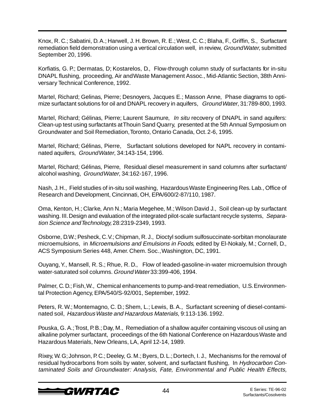Knox, R. C.; Sabatini, D. A.; Harwell, J. H. Brown, R. E.; West, C. C.; Blaha, F., Griffin, S., Surfactant remediation field demonstration using a vertical circulation well, in review, Ground Water, submitted September 20, 1996.

Korfiatis, G. P.; Dermatas, D; Kostarelos, D., Flow-through column study of surfactants for in-situ DNAPL flushing, proceeding, Air and Waste Management Assoc., Mid-Atlantic Section, 38th Anniversary Technical Conference, 1992.

Martel, Richard; Gelinas, Pierre; Desnoyers, Jacques E.; Masson Anne, Phase diagrams to optimize surfactant solutions for oil and DNAPL recovery in aquifers, Ground Water, 31:789-800, 1993.

Martel, Richard; Gélinas, Pierre; Laurent Saumure, In situ recovery of DNAPL in sand aquifers: Clean-up test using surfactants at Thouin Sand Quarry, presented at the 5th Annual Symposium on Groundwater and Soil Remediation, Toronto, Ontario Canada, Oct. 2-6, 1995.

Martel, Richard; Gélinas, Pierre, Surfactant solutions developed for NAPL recovery in contaminated aquifers, Ground Water, 34:143-154, 1996.

Martel, Richard; Gélinas, Pierre, Residual diesel measurement in sand columns after surfactant/ alcohol washing, Ground Water, 34:162-167, 1996.

Nash, J. H., Field studies of in-situ soil washing, Hazardous Waste Engineering Res. Lab., Office of Research and Development, Cincinnati, OH, EPA/600/2-87/110, 1987.

Oma, Kenton, H.; Clarke, Ann N.; Maria Megehee, M.; Wilson David J., Soil clean-up by surfactant washing. III. Design and evaluation of the integrated pilot-scale surfactant recycle systems, Separation Science and Technology, 28:2319-2349, 1993.

Osborne, D.W.; Pesheck, C. V.; Chipman, R. J., Dioctyl sodium sulfosuccinate-sorbitan monolaurate microemulsions, in Microemulsions and Emulsions in Foods, edited by El-Nokaly, M.; Cornell, D., ACS Symposium Series 448, Amer. Chem. Soc., Washington, DC, 1991.

Ouyang, Y., Mansell, R. S.; Rhue, R. D., Flow of leaded-gasoline-in-water microemulsion through water-saturated soil columns. Ground Water 33:399-406, 1994.

Palmer, C. D.; Fish, W., Chemical enhancements to pump-and-treat remediation, U.S. Environmental Protection Agency, EPA/540/S-92/001, September, 1992.

Peters, R. W.; Montemagno, C. D.; Shem, L.; Lewis, B. A., Surfactant screening of diesel-contaminated soil, Hazardous Waste and Hazardous Materials, 9:113-136. 1992.

Pouska, G. A.; Trost, P. B.; Day, M., Remediation of a shallow aquifer containing viscous oil using an alkaline polymer surfactant, proceedings of the 6th National Conference on Hazardous Waste and Hazardous Materials, New Orleans, LA, April 12-14, 1989.

Rixey, W. G; Johnson, P. C.; Deeley, G. M.; Byers, D. L.; Dortech, I. J., Mechanisms for the removal of residual hydrocarbons from soils by water, solvent, and surfactant flushing, In Hydrocarbon Contaminated Soils and Groundwater: Analysis, Fate, Environmental and Public Health Effects,